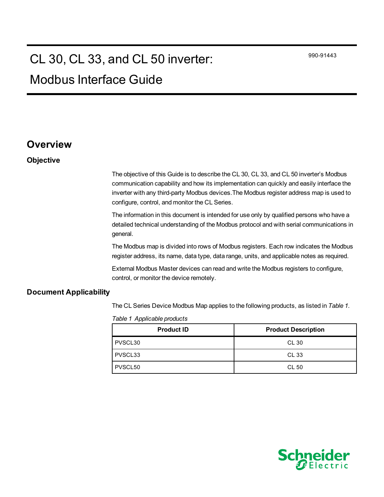990-91443

# CL 30, CL 33, and CL 50 inverter:

# Modbus Interface Guide

## **Overview**

### **Objective**

The objective of this Guide is to describe the CL 30, CL 33, and CL 50 inverter's Modbus communication capability and how its implementation can quickly and easily interface the inverter with any third-party Modbus devices.The Modbus register address map is used to configure, control, and monitor the CL Series.

The information in this document is intended for use only by qualified persons who have a detailed technical understanding of the Modbus protocol and with serial communications in general.

The Modbus map is divided into rows of Modbus registers. Each row indicates the Modbus register address, its name, data type, data range, units, and applicable notes as required.

External Modbus Master devices can read and write the Modbus registers to configure, control, or monitor the device remotely.

#### **Document Applicability**

<span id="page-0-0"></span>The CL Series Device Modbus Map applies to the following products, as listed in *[Table](#page-0-0) 1*.

| <b>Product ID</b> | <b>Product Description</b> |
|-------------------|----------------------------|
| PVSCL30           | CL 30                      |
| PVSCL33           | CL 33                      |
| PVSCL50           | CL 50                      |

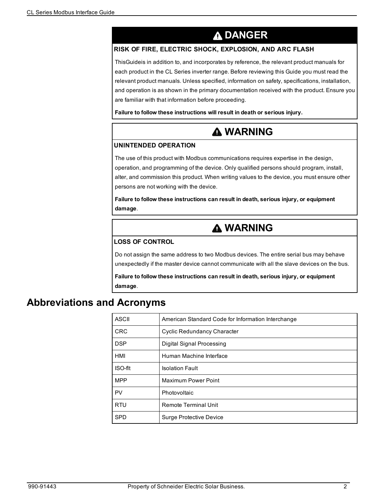# **A DANGER**

### <span id="page-1-0"></span>**RISK OF FIRE, ELECTRIC SHOCK, EXPLOSION, AND ARC FLASH**

ThisGuideis in addition to, and incorporates by reference, the relevant product manuals for each product in the CL Series inverter range. Before reviewing this Guide you must read the relevant product manuals. Unless specified, information on safety, specifications, installation, and operation is as shown in the primary documentation received with the product. Ensure you are familiar with that information before proceeding.

**Failure to follow these instructions will result in death or serious injury.**

# **A WARNING**

#### **UNINTENDED OPERATION**

The use of this product with Modbus communications requires expertise in the design, operation, and programming of the device. Only qualified persons should program, install, alter, and commission this product. When writing values to the device, you must ensure other persons are not working with the device.

**Failure to follow these instructions can result in death, serious injury, or equipment damage**.

# **A WARNING**

#### **LOSS OF CONTROL**

Do not assign the same address to two Modbus devices. The entire serial bus may behave unexpectedly if the master device cannot communicate with all the slave devices on the bus.

**Failure to follow these instructions can result in death, serious injury, or equipment damage**.

## **Abbreviations and Acronyms**

| ASCII      | American Standard Code for Information Interchange |  |
|------------|----------------------------------------------------|--|
| <b>CRC</b> | <b>Cyclic Redundancy Character</b>                 |  |
| <b>DSP</b> | Digital Signal Processing                          |  |
| HMI        | Human Machine Interface                            |  |
| ISO-fit    | <b>Isolation Fault</b>                             |  |
| <b>MPP</b> | <b>Maximum Power Point</b>                         |  |
| PV         | Photovoltaic                                       |  |
| <b>RTU</b> | <b>Remote Terminal Unit</b>                        |  |
| <b>SPD</b> | <b>Surge Protective Device</b>                     |  |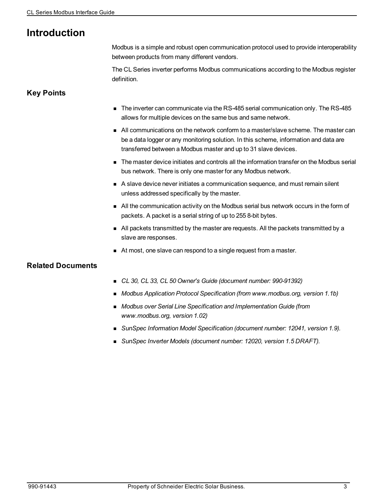# **Introduction**

Modbus is a simple and robust open communication protocol used to provide interoperability between products from many different vendors.

The CL Series inverter performs Modbus communications according to the Modbus register definition.

### **Key Points**

- $\blacksquare$  The inverter can communicate via the RS-485 serial communication only. The RS-485 allows for multiple devices on the same bus and same network.
- n All communications on the network conform to a master/slave scheme. The master can be a data logger or any monitoring solution. In this scheme, information and data are transferred between a Modbus master and up to 31 slave devices.
- <sup>n</sup> The master device initiates and controls all the information transfer on the Modbus serial bus network. There is only one master for any Modbus network.
- <sup>n</sup> A slave device never initiates a communication sequence, and must remain silent unless addressed specifically by the master.
- n All the communication activity on the Modbus serial bus network occurs in the form of packets. A packet is a serial string of up to 255 8-bit bytes.
- n All packets transmitted by the master are requests. All the packets transmitted by a slave are responses.
- At most, one slave can respond to a single request from a master.

## **Related Documents**

- <sup>n</sup> *CL 30, CL 33, CL 50 Owner's Guide (document number: 990-91392)*
- <sup>n</sup> *Modbus Application Protocol Specification (from www.modbus.org, version 1.1b)*
- <sup>n</sup> *Modbus over Serial Line Specification and Implementation Guide (from www.modbus.org, version 1.02)*
- <sup>n</sup> *SunSpec Information Model Specification (document number: 12041, version 1.9).*
- <sup>n</sup> *SunSpec Inverter Models (document number: 12020, version 1.5 DRAFT).*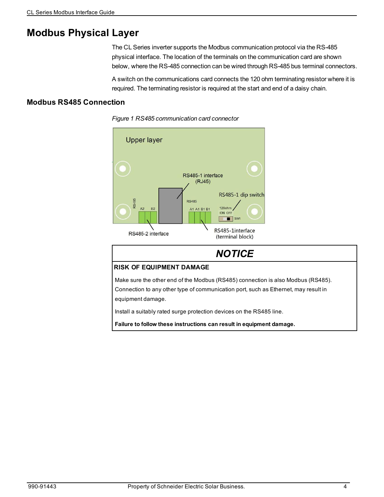# **Modbus Physical Layer**

The CL Series inverter supports the Modbus communication protocol via the RS-485 physical interface. The location of the terminals on the communication card are shown below, where the RS-485 connection can be wired through RS-485 bus terminal connectors.

A switch on the communications card connects the 120 ohm terminating resistor where it is required. The terminating resistor is required at the start and end of a daisy chain.

### **Modbus RS485 Connection**





## *NOTICE* **RISK OF EQUIPMENT DAMAGE** Make sure the other end of the Modbus (RS485) connection is also Modbus (RS485). Connection to any other type of communication port, such as Ethernet, may result in equipment damage. Install a suitably rated surge protection devices on the RS485 line. **Failure to follow these instructions can result in equipment damage.**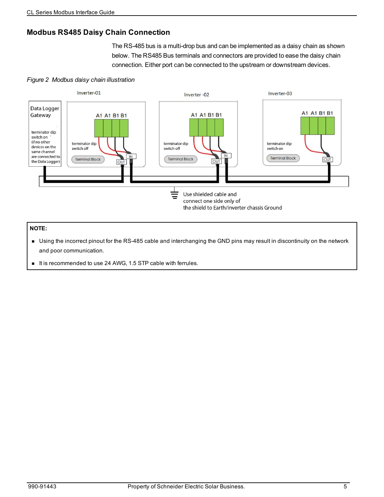## **Modbus RS485 Daisy Chain Connection**

The RS-485 bus is a multi-drop bus and can be implemented as a daisy chain as shown below. The RS485 Bus terminals and connectors are provided to ease the daisy chain connection. Either port can be connected to the upstream or downstream devices.

### *Figure 2 Modbus daisy chain illustration*



#### **NOTE:**

- <sup>n</sup> Using the incorrect pinout for the RS-485 cable and interchanging the GND pins may result in discontinuity on the network and poor communication.
- It is recommended to use 24 AWG, 1.5 STP cable with ferrules.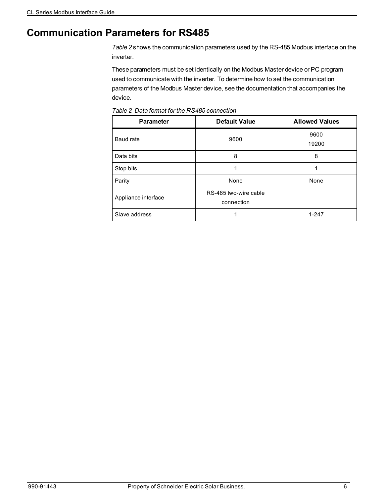## **Communication Parameters for RS485**

*[Table](#page-5-0) 2* shows the communication parameters used by the RS-485 Modbus interface on the inverter.

These parameters must be set identically on the Modbus Master device or PC program used to communicate with the inverter. To determine how to set the communication parameters of the Modbus Master device, see the documentation that accompanies the device.

| <b>Parameter</b>    | <b>Default Value</b>                | <b>Allowed Values</b> |
|---------------------|-------------------------------------|-----------------------|
| Baud rate           | 9600                                | 9600<br>19200         |
| Data bits           | 8                                   | 8                     |
| Stop bits           | 1                                   | 1                     |
| Parity              | None                                | None                  |
| Appliance interface | RS-485 two-wire cable<br>connection |                       |
| Slave address       |                                     | $1 - 247$             |

<span id="page-5-0"></span>*Table 2 Data format for the RS485 connection*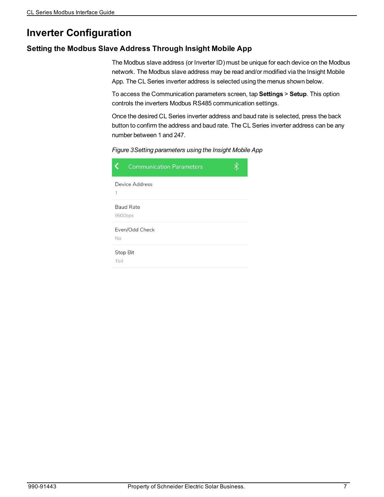## **Inverter Configuration**

### **Setting the Modbus Slave Address Through Insight Mobile App**

The Modbus slave address (or Inverter ID) must be unique for each device on the Modbus network. The Modbus slave address may be read and/or modified via the Insight Mobile App. The CL Series inverter address is selected using the menus shown below.

To access the Communication parameters screen, tap **Settings** > **Setup**. This option controls the inverters Modbus RS485 communication settings.

Once the desired CL Series inverter address and baud rate is selected, press the back button to confirm the address and baud rate. The CL Series inverter address can be any number between 1 and 247.



|                  | <b>Communication Parameters</b> |  |
|------------------|---------------------------------|--|
|                  | Device Address                  |  |
| 9600bps          | <b>Baud Rate</b>                |  |
| No               | Even/Odd Check                  |  |
| Stop Bit<br>1bit |                                 |  |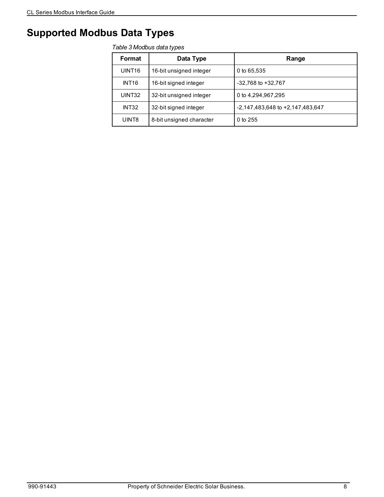# **Supported Modbus Data Types**

#### *Table 3 Modbus data types*

| Format             | Data Type                | Range                            |
|--------------------|--------------------------|----------------------------------|
| UINT <sub>16</sub> | 16-bit unsigned integer  | 0 to 65,535                      |
| INT <sub>16</sub>  | 16-bit signed integer    | $-32,768$ to $+32,767$           |
| UINT32             | 32-bit unsigned integer  | 0 to 4,294,967,295               |
| INT32              | 32-bit signed integer    | -2,147,483,648 to +2,147,483,647 |
| UINT8              | 8-bit unsigned character | $0$ to 255                       |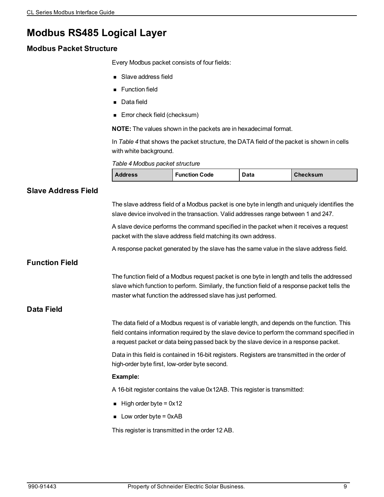## **Modbus RS485 Logical Layer**

### **Modbus Packet Structure**

Every Modbus packet consists of four fields:

- **B** Slave address field
- **Function field**
- Data field
- **Error check field (checksum)**

**NOTE:** The values shown in the packets are in hexadecimal format.

In *[Table](#page-8-0) 4* that shows the packet structure, the DATA field of the packet is shown in cells with white background.

<span id="page-8-0"></span>*Table 4 Modbus packet structure*

| <b>Address</b> | <b>Function Code</b> | Data | <b>Checksum</b> |
|----------------|----------------------|------|-----------------|
|----------------|----------------------|------|-----------------|

## **Slave Address Field** The slave address field of a Modbus packet is one byte in length and uniquely identifies the slave device involved in the transaction. Valid addresses range between 1 and 247. A slave device performs the command specified in the packet when it receives a request packet with the slave address field matching its own address. A response packet generated by the slave has the same value in the slave address field. **Function Field** The function field of a Modbus request packet is one byte in length and tells the addressed slave which function to perform. Similarly, the function field of a response packet tells the master what function the addressed slave has just performed. **Data Field** The data field of a Modbus request is of variable length, and depends on the function. This field contains information required by the slave device to perform the command specified in a request packet or data being passed back by the slave device in a response packet. Data in this field is contained in 16-bit registers. Registers are transmitted in the order of high-order byte first, low-order byte second. **Example:** A 16-bit register contains the value 0x12AB. This register is transmitted:  $\blacksquare$  High order byte = 0x12  $\blacksquare$  Low order byte = 0xAB This register is transmitted in the order 12 AB.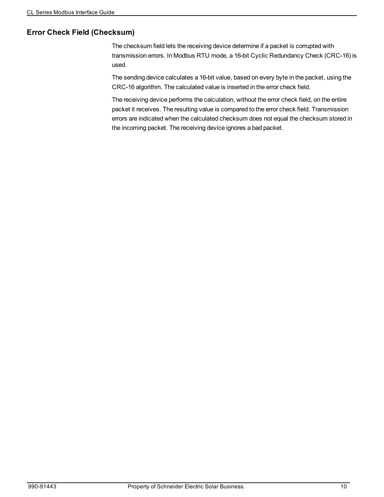### **Error Check Field (Checksum)**

The checksum field lets the receiving device determine if a packet is corrupted with transmission errors. In Modbus RTU mode, a 16-bit Cyclic Redundancy Check (CRC-16) is used.

The sending device calculates a 16-bit value, based on every byte in the packet, using the CRC-16 algorithm. The calculated value is inserted in the error check field.

The receiving device performs the calculation, without the error check field, on the entire packet it receives. The resulting value is compared to the error check field. Transmission errors are indicated when the calculated checksum does not equal the checksum stored in the incoming packet. The receiving device ignores a bad packet.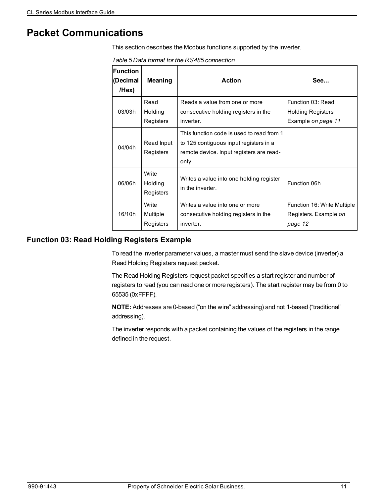## **Packet Communications**

<span id="page-10-1"></span>This section describes the Modbus functions supported by the inverter.

*Table 5 Data format for the RS485 connection*

| <b>Function</b><br>(Decimal<br>/Hex) | Meaning                        | <b>Action</b>                                                                                                                            | See                                                                 |
|--------------------------------------|--------------------------------|------------------------------------------------------------------------------------------------------------------------------------------|---------------------------------------------------------------------|
| 03/03h                               | Read<br>Holding<br>Registers   | Reads a value from one or more<br>consecutive holding registers in the<br>inverter.                                                      | Function 03: Read<br><b>Holding Registers</b><br>Example on page 11 |
| 04/04h                               | Read Input<br>Registers        | This function code is used to read from 1<br>to 125 contiguous input registers in a<br>remote device. Input registers are read-<br>only. |                                                                     |
| 06/06h                               | Write<br>Holding<br>Registers  | Writes a value into one holding register<br>in the inverter.                                                                             | Function 06h                                                        |
| 16/10h                               | Write<br>Multiple<br>Registers | Writes a value into one or more<br>consecutive holding registers in the<br>inverter.                                                     | Function 16: Write Multiple<br>Registers. Example on<br>page 12     |

### <span id="page-10-0"></span>**Function 03: Read Holding Registers Example**

To read the inverter parameter values, a master must send the slave device (inverter) a Read Holding Registers request packet.

The Read Holding Registers request packet specifies a start register and number of registers to read (you can read one or more registers). The start register may be from 0 to 65535 (0xFFFF).

**NOTE:** Addresses are 0-based ("on the wire" addressing) and not 1-based ("traditional" addressing).

The inverter responds with a packet containing the values of the registers in the range defined in the request.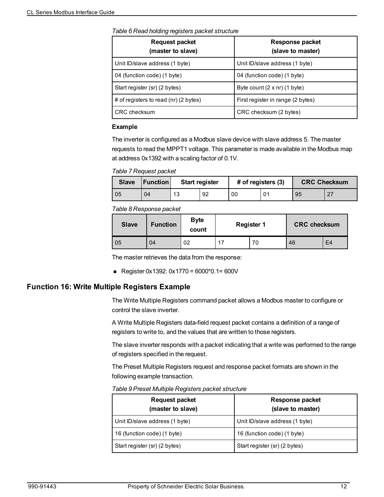*Table 6 Read holding registers packet structure*

| $\sim$ , and the state in the setting the square the prototion of the state $\sim$ |                                             |  |  |  |
|------------------------------------------------------------------------------------|---------------------------------------------|--|--|--|
| <b>Request packet</b><br>(master to slave)                                         | <b>Response packet</b><br>(slave to master) |  |  |  |
| Unit ID/slave address (1 byte)                                                     | Unit ID/slave address (1 byte)              |  |  |  |
| 04 (function code) (1 byte)                                                        | 04 (function code) (1 byte)                 |  |  |  |
| Start register (sr) (2 bytes)                                                      | Byte count $(2 \times nr)$ (1 byte)         |  |  |  |
| # of registers to read (nr) (2 bytes)                                              | First register in range (2 bytes)           |  |  |  |
| CRC checksum                                                                       | CRC checksum (2 bytes)                      |  |  |  |

#### **Example**

The inverter is configured as a Modbus slave device with slave address 5. The master requests to read the MPPT1 voltage. This parameter is made available in the Modbus map at address 0x1392 with a scaling factor of 0.1V.

*Table 7 Request packet*

| <b>Slave</b> | <b>Function</b> | <b>Start register</b> |    | # of registers (3) |    | <b>CRC Checksum</b> |     |
|--------------|-----------------|-----------------------|----|--------------------|----|---------------------|-----|
| 05           | 04              | 13                    | 92 | 00                 | 01 | 95                  | -27 |

#### *Table 8 Response packet*

| <b>Slave</b> | <b>Function</b> | <b>Byte</b><br>count | <b>Register 1</b> | <b>CRC checksum</b> |    |
|--------------|-----------------|----------------------|-------------------|---------------------|----|
| 05           | 04              | 02                   | 70                | 46                  | E4 |

The master retrieves the data from the response:

Register 0x1392:  $0x1770 = 6000*0.1 = 600V$ 

### <span id="page-11-0"></span>**Function 16: Write Multiple Registers Example**

The Write Multiple Registers command packet allows a Modbus master to configure or control the slave inverter.

A Write Multiple Registers data-field request packet contains a definition of a range of registers to write to, and the values that are written to those registers.

The slave inverter responds with a packet indicating that a write was performed to the range of registers specified in the request.

The Preset Multiple Registers request and response packet formats are shown in the following example transaction.

*Table 9 Preset Multiple Registers packet structure*

| <b>Request packet</b><br>(master to slave) | Response packet<br>(slave to master) |
|--------------------------------------------|--------------------------------------|
| Unit ID/slave address (1 byte)             | Unit ID/slave address (1 byte)       |
| 16 (function code) (1 byte)                | 16 (function code) (1 byte)          |
| Start register (sr) (2 bytes)              | Start register (sr) (2 bytes)        |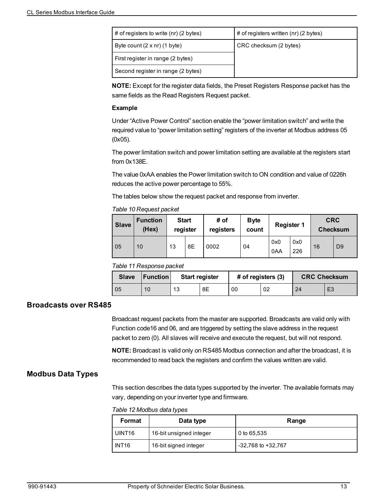| # of registers to write $(nr)$ (2 bytes) | # of registers written (nr) (2 bytes) |  |  |
|------------------------------------------|---------------------------------------|--|--|
| Byte count $(2 \times nr)$ (1 byte)      | CRC checksum (2 bytes)                |  |  |
| First register in range (2 bytes)        |                                       |  |  |
| Second register in range (2 bytes)       |                                       |  |  |

**NOTE:** Except for the register data fields, the Preset Registers Response packet has the same fields as the Read Registers Request packet.

#### **Example**

Under "Active Power Control" section enable the "power limitation switch" and write the required value to "power limitation setting" registers of the inverter at Modbus address 05 (0x05).

The power limitation switch and power limitation setting are available at the registers start from 0x138E.

The value 0xAA enables the Power limitation switch to ON condition and value of 0226h reduces the active power percentage to 55%.

The tables below show the request packet and response from inverter.

#### *Table 10 Request packet*

| <b>Slave</b> | <b>Function</b><br>(Hex) | <b>Start</b><br>register |    | # of<br>registers | <b>Byte</b><br>count | <b>Register 1</b> |            | <b>CRC</b><br><b>Checksum</b> |                |
|--------------|--------------------------|--------------------------|----|-------------------|----------------------|-------------------|------------|-------------------------------|----------------|
| 05           | 10                       | 13                       | 8E | 0002              | 04                   | 0x0<br>0AA        | 0x0<br>226 | 16                            | D <sub>9</sub> |

#### *Table 11 Response packet*

| <b>Slave</b> | <b>IFunction</b> | <b>Start register</b> |    | # of registers (3) |    | <b>CRC Checksum</b> |                |
|--------------|------------------|-----------------------|----|--------------------|----|---------------------|----------------|
| 05           | 10               | 13                    | 8E | 00                 | 02 | 24                  | E <sub>3</sub> |

### **Broadcasts over RS485**

Broadcast request packets from the master are supported. Broadcasts are valid only with Function code16 and 06, and are triggered by setting the slave address in the request packet to zero (0). All slaves will receive and execute the request, but will not respond.

**NOTE:** Broadcast is valid only on RS485 Modbus connection and after the broadcast, it is recommended to read back the registers and confirm the values written are valid.

### **Modbus Data Types**

This section describes the data types supported by the inverter. The available formats may vary, depending on your inverter type and firmware.

*Table 12 Modbus data types*

| Format             | Data type               | Range                  |  |  |
|--------------------|-------------------------|------------------------|--|--|
| UINT <sub>16</sub> | 16-bit unsigned integer | 0 to 65,535            |  |  |
| <b>INT16</b>       | 16-bit signed integer   | $-32,768$ to $+32,767$ |  |  |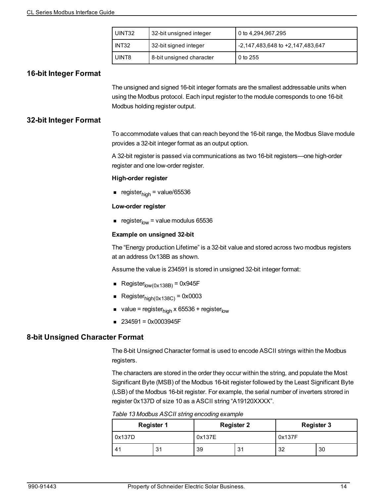| l UINT32 | 32-bit unsigned integer  | 0 to 4,294,967,295               |  |  |
|----------|--------------------------|----------------------------------|--|--|
| l INT32  | 32-bit signed integer    | -2,147,483,648 to +2,147,483,647 |  |  |
| UINT8    | 8-bit unsigned character | l 0 to 255                       |  |  |

### **16-bit Integer Format**

The unsigned and signed 16-bit integer formats are the smallest addressable units when using the Modbus protocol. Each input register to the module corresponds to one 16-bit Modbus holding register output.

### **32-bit Integer Format**

To accommodate values that can reach beyond the 16-bit range, the Modbus Slave module provides a 32-bit integer format as an output option.

A 32-bit register is passed via communications as two 16-bit registers—one high-order register and one low-order register.

#### **High-order register**

n register $_{\text{high}}$  = value/65536

#### **Low-order register**

e register $_{low}$  = value modulus 65536

#### **Example on unsigned 32-bit**

The "Energy production Lifetime" is a 32-bit value and stored across two modbus registers at an address 0x138B as shown.

Assume the value is 234591 is stored in unsigned 32-bit integer format:

- Register $_{\text{low}(0\times138\text{B})}$  = 0x945F
- Register $_{\text{hidh}(0 \times 138 \text{C})}$  = 0x0003
- value = register<sub>high</sub> x 65536 + register<sub>low</sub>
- $\blacksquare$  234591 = 0x0003945F

### **8-bit Unsigned Character Format**

The 8-bit Unsigned Character format is used to encode ASCII strings within the Modbus registers.

The characters are stored in the order they occur within the string, and populate the Most Significant Byte (MSB) of the Modbus 16-bit register followed by the Least Significant Byte (LSB) of the Modbus 16-bit register. For example, the serial number of inverters strored in register 0x137D of size 10 as a ASCII string "A19120XXXX".

*Table 13 Modbus ASCII string encoding example*

|        | <b>Register 1</b> |        | <b>Register 2</b> | <b>Register 3</b> |    |  |
|--------|-------------------|--------|-------------------|-------------------|----|--|
| 0x137D |                   | 0x137E |                   | 0x137F            |    |  |
| 41     | 31                | 39     | 31                | 32                | 30 |  |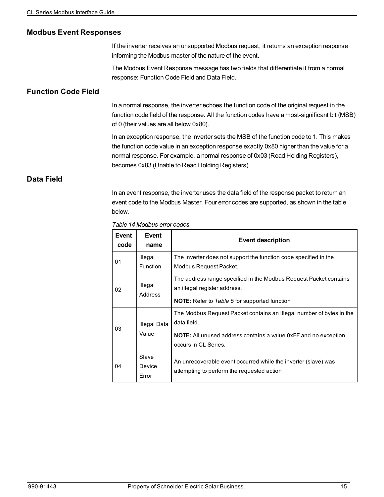### **Modbus Event Responses**

If the inverter receives an unsupported Modbus request, it returns an exception response informing the Modbus master of the nature of the event.

The Modbus Event Response message has two fields that differentiate it from a normal response: Function Code Field and Data Field.

### **Function Code Field**

In a normal response, the inverter echoes the function code of the original request in the function code field of the response. All the function codes have a most-significant bit (MSB) of 0 (their values are all below 0x80).

In an exception response, the inverter sets the MSB of the function code to 1. This makes the function code value in an exception response exactly 0x80 higher than the value for a normal response. For example, a normal response of 0x03 (Read Holding Registers), becomes 0x83 (Unable to Read Holding Registers).

### **Data Field**

In an event response, the inverter uses the data field of the response packet to return an event code to the Modbus Master. Four error codes are supported, as shown in the table below.

*Table 14 Modbus error codes*

| Event<br>code | Event<br>name              | Event description                                                                                                                                                                     |
|---------------|----------------------------|---------------------------------------------------------------------------------------------------------------------------------------------------------------------------------------|
| 01            | Illegal<br><b>Function</b> | The inverter does not support the function code specified in the<br>Modbus Request Packet.                                                                                            |
| 02            | Illegal<br>Address         | The address range specified in the Modbus Request Packet contains<br>an illegal register address.<br><b>NOTE:</b> Refer to Table 5 for supported function                             |
| 03            | Illegal Data<br>Value      | The Modbus Request Packet contains an illegal number of bytes in the<br>data field.<br><b>NOTE:</b> All unused address contains a value 0xFF and no exception<br>occurs in CL Series. |
| 04            | Slave<br>Device<br>Error   | An unrecoverable event occurred while the inverter (slave) was<br>attempting to perform the requested action                                                                          |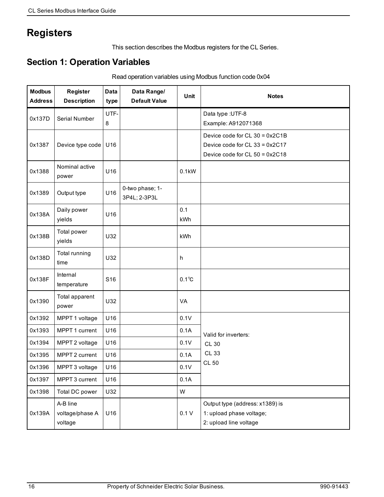# **Registers**

This section describes the Modbus registers for the CL Series.

## **Section 1: Operation Variables**

Read operation variables using Modbus function code 0x04

| <b>Modbus</b><br><b>Address</b> | <b>Register</b><br><b>Description</b>  | <b>Data</b><br>type | Data Range/<br><b>Default Value</b> | Unit           | <b>Notes</b>                                                                                         |
|---------------------------------|----------------------------------------|---------------------|-------------------------------------|----------------|------------------------------------------------------------------------------------------------------|
| 0x137D                          | Serial Number                          | UTF-                |                                     |                | Data type : UTF-8                                                                                    |
|                                 |                                        | 8                   |                                     |                | Example: A912071368                                                                                  |
| 0x1387                          | Device type code                       | U16                 |                                     |                | Device code for CL 30 = 0x2C1B<br>Device code for CL 33 = 0x2C17<br>Device code for $CL 50 = 0x2C18$ |
| 0x1388                          | Nominal active<br>power                | U16                 |                                     | 0.1kW          |                                                                                                      |
| 0x1389                          | Output type                            | U16                 | 0-two phase; 1-<br>3P4L; 2-3P3L     |                |                                                                                                      |
| 0x138A                          | Daily power<br>yields                  | U16                 |                                     | 0.1<br>kWh     |                                                                                                      |
| 0x138B                          | Total power<br>yields                  | U32                 |                                     | kWh            |                                                                                                      |
| 0x138D                          | Total running<br>time                  | U32                 |                                     | h              |                                                                                                      |
| 0x138F                          | Internal<br>temperature                | S <sub>16</sub>     |                                     | $0.1^{\circ}C$ |                                                                                                      |
| 0x1390                          | Total apparent<br>power                | U32                 |                                     | VA             |                                                                                                      |
| 0x1392                          | MPPT 1 voltage                         | U16                 |                                     | 0.1V           |                                                                                                      |
| 0x1393                          | MPPT 1 current                         | U16                 |                                     | 0.1A           | Valid for inverters:                                                                                 |
| 0x1394                          | MPPT 2 voltage                         | U16                 |                                     | 0.1V           | <b>CL 30</b>                                                                                         |
| 0x1395                          | MPPT 2 current                         | U16                 |                                     | 0.1A           | <b>CL 33</b>                                                                                         |
| 0x1396                          | MPPT 3 voltage                         | U16                 |                                     | 0.1V           | <b>CL 50</b>                                                                                         |
| 0x1397                          | MPPT 3 current                         | U16                 |                                     | 0.1A           |                                                                                                      |
| 0x1398                          | Total DC power                         | U32                 |                                     | W              |                                                                                                      |
| 0x139A                          | A-B line<br>voltage/phase A<br>voltage | U16                 |                                     | 0.1V           | Output type (address: x1389) is<br>1: upload phase voltage;<br>2: upload line voltage                |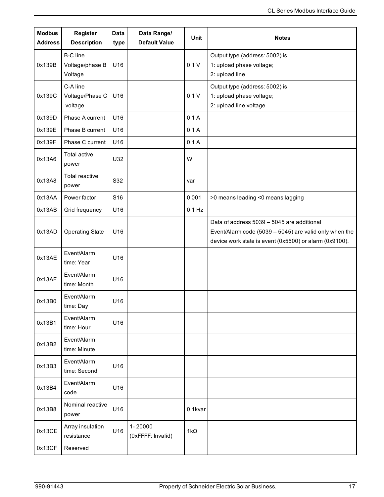| <b>Modbus</b><br><b>Address</b> | Register<br><b>Description</b>                | <b>Data</b><br>type | Data Range/<br><b>Default Value</b> | <b>Unit</b> | <b>Notes</b>                                                                                                                                                   |
|---------------------------------|-----------------------------------------------|---------------------|-------------------------------------|-------------|----------------------------------------------------------------------------------------------------------------------------------------------------------------|
| 0x139B                          | <b>B-C</b> line<br>Voltage/phase B<br>Voltage | U16                 |                                     | 0.1V        | Output type (address: 5002) is<br>1: upload phase voltage;<br>2: upload line                                                                                   |
| 0x139C                          | C-A line<br>Voltage/Phase C<br>voltage        | U16                 |                                     | 0.1V        | Output type (address: 5002) is<br>1: upload phase voltage;<br>2: upload line voltage                                                                           |
| 0x139D                          | Phase A current                               | U16                 |                                     | 0.1A        |                                                                                                                                                                |
| 0x139E                          | Phase B current                               | U16                 |                                     | 0.1A        |                                                                                                                                                                |
| 0x139F                          | Phase C current                               | U16                 |                                     | 0.1A        |                                                                                                                                                                |
| 0x13A6                          | Total active<br>power                         | U32                 |                                     | W           |                                                                                                                                                                |
| 0x13A8                          | Total reactive<br>power                       | S32                 |                                     | var         |                                                                                                                                                                |
| 0x13AA                          | Power factor                                  | S16                 |                                     | 0.001       | >0 means leading <0 means lagging                                                                                                                              |
| 0x13AB                          | Grid frequency                                | U16                 |                                     | $0.1$ Hz    |                                                                                                                                                                |
| 0x13AD                          | <b>Operating State</b>                        | U16                 |                                     |             | Data of address 5039 - 5045 are additional<br>Event/Alarm code (5039 - 5045) are valid only when the<br>device work state is event (0x5500) or alarm (0x9100). |
| 0x13AE                          | Event/Alarm<br>time: Year                     | U16                 |                                     |             |                                                                                                                                                                |
| 0x13AF                          | Event/Alarm<br>time: Month                    | U16                 |                                     |             |                                                                                                                                                                |
| 0x13B0                          | Event/Alarm<br>time: Day                      | U16                 |                                     |             |                                                                                                                                                                |
| 0x13B1                          | Event/Alarm<br>time: Hour                     | U16                 |                                     |             |                                                                                                                                                                |
| 0x13B2                          | Event/Alarm<br>time: Minute                   |                     |                                     |             |                                                                                                                                                                |
| 0x13B3                          | Event/Alarm<br>time: Second                   | U16                 |                                     |             |                                                                                                                                                                |
| 0x13B4                          | Event/Alarm<br>code                           | U16                 |                                     |             |                                                                                                                                                                |
| 0x13B8                          | Nominal reactive<br>power                     | U16                 |                                     | 0.1kvar     |                                                                                                                                                                |
| 0x13CE                          | Array insulation<br>resistance                | U16                 | 1-20000<br>(0xFFFF: Invalid)        | $1k\Omega$  |                                                                                                                                                                |
| 0x13CF                          | Reserved                                      |                     |                                     |             |                                                                                                                                                                |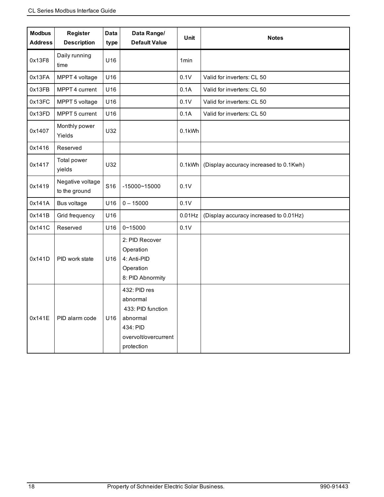| <b>Modbus</b><br><b>Address</b> | Register<br><b>Description</b>    | <b>Data</b><br>type | Data Range/<br><b>Default Value</b>                                                                         | <b>Unit</b>      | <b>Notes</b>                           |
|---------------------------------|-----------------------------------|---------------------|-------------------------------------------------------------------------------------------------------------|------------------|----------------------------------------|
| 0x13F8                          | Daily running<br>time             | U16                 |                                                                                                             | 1 <sub>min</sub> |                                        |
| 0x13FA                          | MPPT 4 voltage                    | U16                 |                                                                                                             | 0.1V             | Valid for inverters: CL 50             |
| 0x13FB                          | MPPT 4 current                    | U16                 |                                                                                                             | 0.1A             | Valid for inverters: CL 50             |
| 0x13FC                          | MPPT 5 voltage                    | U16                 |                                                                                                             | 0.1V             | Valid for inverters: CL 50             |
| 0x13FD                          | MPPT 5 current                    | U16                 |                                                                                                             | 0.1A             | Valid for inverters: CL 50             |
| 0x1407                          | Monthly power<br>Yields           | U32                 |                                                                                                             | 0.1kWh           |                                        |
| 0x1416                          | Reserved                          |                     |                                                                                                             |                  |                                        |
| 0x1417                          | Total power<br>yields             | U32                 |                                                                                                             | 0.1kWh           | (Display accuracy increased to 0.1Kwh) |
| 0x1419                          | Negative voltage<br>to the ground | S <sub>16</sub>     | $-15000 - 15000$                                                                                            | 0.1V             |                                        |
| 0x141A                          | Bus voltage                       | U16                 | $0 - 15000$                                                                                                 | 0.1V             |                                        |
| 0x141B                          | Grid frequency                    | U16                 |                                                                                                             | $0.01$ Hz        | (Display accuracy increased to 0.01Hz) |
| 0x141C                          | Reserved                          | U16                 | $0 - 15000$                                                                                                 | 0.1V             |                                        |
| 0x141D                          | PID work state                    | U16                 | 2: PID Recover<br>Operation<br>4: Anti-PID<br>Operation<br>8: PID Abnormity                                 |                  |                                        |
| 0x141E                          | PID alarm code                    | U16                 | 432: PID res<br>abnormal<br>433: PID function<br>abnormal<br>434: PID<br>overvolt/overcurrent<br>protection |                  |                                        |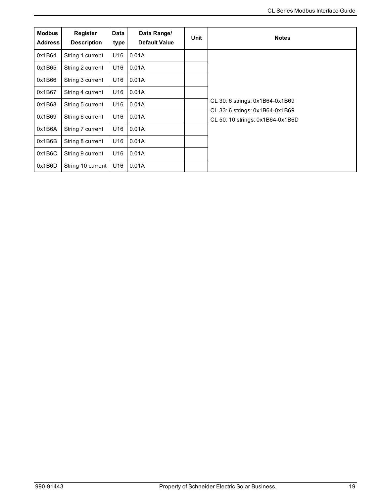| <b>Modbus</b><br><b>Address</b> | Register<br><b>Description</b> | <b>Data</b><br>type | Data Range/<br><b>Default Value</b> | Unit | <b>Notes</b>                                                       |
|---------------------------------|--------------------------------|---------------------|-------------------------------------|------|--------------------------------------------------------------------|
| 0x1B64                          | String 1 current               | U16                 | 0.01A                               |      |                                                                    |
| 0x1B65                          | String 2 current               | U16                 | 0.01A                               |      |                                                                    |
| 0x1B66                          | String 3 current               | U16                 | 0.01A                               |      |                                                                    |
| 0x1B67                          | String 4 current               | U16                 | 0.01A                               |      |                                                                    |
| 0x1B68                          | String 5 current               | U16                 | 0.01A                               |      | CL 30: 6 strings: 0x1B64-0x1B69<br>CL 33: 6 strings: 0x1B64-0x1B69 |
| 0x1B69                          | String 6 current               | U16                 | 0.01A                               |      | CL 50: 10 strings: 0x1B64-0x1B6D                                   |
| 0x1B6A                          | String 7 current               | U16                 | 0.01A                               |      |                                                                    |
| 0x1B6B                          | String 8 current               | U <sub>16</sub>     | 0.01A                               |      |                                                                    |
| 0x1B6C                          | String 9 current               | U16                 | 0.01A                               |      |                                                                    |
| 0x1B6D                          | String 10 current              | U16                 | 0.01A                               |      |                                                                    |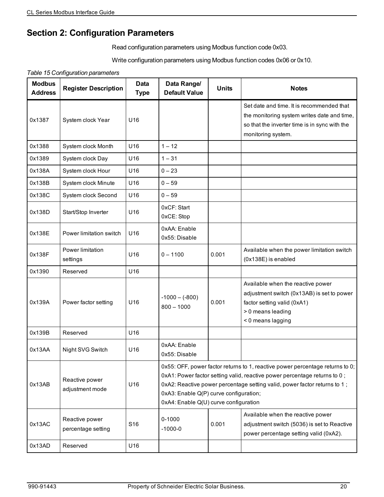## **Section 2: Configuration Parameters**

Read configuration parameters using Modbus function code 0x03.

Write configuration parameters using Modbus function codes 0x06 or 0x10.

*Table 15 Configuration parameters*

| <b>Modbus</b><br><b>Address</b> | <b>Register Description</b>          | Data<br><b>Type</b> | Data Range/<br><b>Default Value</b>                                                                                                                                                                                                                                                                                        | <b>Units</b> | <b>Notes</b>                                                                                                                                                    |
|---------------------------------|--------------------------------------|---------------------|----------------------------------------------------------------------------------------------------------------------------------------------------------------------------------------------------------------------------------------------------------------------------------------------------------------------------|--------------|-----------------------------------------------------------------------------------------------------------------------------------------------------------------|
| 0x1387                          | System clock Year                    | U <sub>16</sub>     |                                                                                                                                                                                                                                                                                                                            |              | Set date and time. It is recommended that<br>the monitoring system writes date and time,<br>so that the inverter time is in sync with the<br>monitoring system. |
| 0x1388                          | System clock Month                   | U16                 | $1 - 12$                                                                                                                                                                                                                                                                                                                   |              |                                                                                                                                                                 |
| 0x1389                          | System clock Day                     | U16                 | $1 - 31$                                                                                                                                                                                                                                                                                                                   |              |                                                                                                                                                                 |
| 0x138A                          | System clock Hour                    | U16                 | $0 - 23$                                                                                                                                                                                                                                                                                                                   |              |                                                                                                                                                                 |
| 0x138B                          | System clock Minute                  | U16                 | $0 - 59$                                                                                                                                                                                                                                                                                                                   |              |                                                                                                                                                                 |
| 0x138C                          | System clock Second                  | U16                 | $0 - 59$                                                                                                                                                                                                                                                                                                                   |              |                                                                                                                                                                 |
| 0x138D                          | Start/Stop Inverter                  | U <sub>16</sub>     | 0xCF: Start<br>0xCE: Stop                                                                                                                                                                                                                                                                                                  |              |                                                                                                                                                                 |
| 0x138E                          | Power limitation switch              | U16                 | 0xAA: Enable<br>0x55: Disable                                                                                                                                                                                                                                                                                              |              |                                                                                                                                                                 |
| 0x138F                          | Power limitation<br>settings         | U16                 | $0 - 1100$                                                                                                                                                                                                                                                                                                                 | 0.001        | Available when the power limitation switch<br>(0x138E) is enabled                                                                                               |
| 0x1390                          | Reserved                             | U16                 |                                                                                                                                                                                                                                                                                                                            |              |                                                                                                                                                                 |
| 0x139A                          | Power factor setting                 | U16                 | $-1000 - (-800)$<br>$800 - 1000$                                                                                                                                                                                                                                                                                           | 0.001        | Available when the reactive power<br>adjustment switch (0x13AB) is set to power<br>factor setting valid (0xA1)<br>> 0 means leading<br>< 0 means lagging        |
| 0x139B                          | Reserved                             | U16                 |                                                                                                                                                                                                                                                                                                                            |              |                                                                                                                                                                 |
| 0x13AA                          | Night SVG Switch                     | U16                 | 0xAA: Enable<br>0x55: Disable                                                                                                                                                                                                                                                                                              |              |                                                                                                                                                                 |
| 0x13AB                          | Reactive power<br>adjustment mode    | U <sub>16</sub>     | 0x55: OFF, power factor returns to 1, reactive power percentage returns to 0;<br>0xA1: Power factor setting valid, reactive power percentage returns to 0;<br>0xA2: Reactive power percentage setting valid, power factor returns to 1;<br>0xA3: Enable Q(P) curve configuration;<br>0xA4: Enable Q(U) curve configuration |              |                                                                                                                                                                 |
| 0x13AC                          | Reactive power<br>percentage setting | S <sub>16</sub>     | $0 - 1000$<br>$-1000-0$                                                                                                                                                                                                                                                                                                    | 0.001        | Available when the reactive power<br>adjustment switch (5036) is set to Reactive<br>power percentage setting valid (0xA2).                                      |
| 0x13AD                          | Reserved                             | U16                 |                                                                                                                                                                                                                                                                                                                            |              |                                                                                                                                                                 |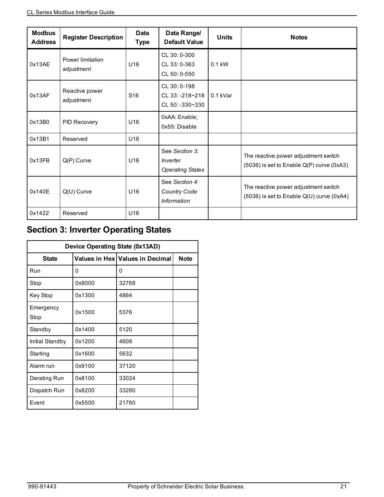| <b>Modbus</b><br><b>Address</b> | <b>Register Description</b>    | Data<br><b>Type</b> | Data Range/<br><b>Default Value</b>                    | <b>Units</b> | <b>Notes</b>                                                                          |
|---------------------------------|--------------------------------|---------------------|--------------------------------------------------------|--------------|---------------------------------------------------------------------------------------|
| 0x13AE                          | Power limitation<br>adjustment | U16                 | CL 30: 0-300<br>CL 33:0-363<br>CL 50: 0-550            | $0.1$ kW     |                                                                                       |
| 0x13AF                          | Reactive power<br>adjustment   | S <sub>16</sub>     | CL 30: 0-198<br>CL 33: -218~218<br>$CL 50: -330 - 330$ | $0.1$ kVar   |                                                                                       |
| 0x13B0                          | <b>PID Recovery</b>            | U16                 | 0xAA: Enable;<br>0x55: Disable                         |              |                                                                                       |
| 0x13B1                          | Reserved                       | U16                 |                                                        |              |                                                                                       |
| 0x13FB                          | $Q(P)$ Curve                   | U <sub>16</sub>     | See Section 3:<br>Inverter<br><b>Operating States</b>  |              | The reactive power adjustment switch<br>$(5036)$ is set to Enable Q(P) curve $(0xA3)$ |
| 0x140E                          | $Q(U)$ Curve                   | U <sub>16</sub>     | See Section 4:<br><b>Country Code</b><br>Information   |              | The reactive power adjustment switch<br>$(5036)$ is set to Enable Q(U) curve $(0xA4)$ |
| 0x1422                          | Reserved                       | U16                 |                                                        |              |                                                                                       |

## <span id="page-20-0"></span>**Section 3: Inverter Operating States**

| Device Operating State (0x13AD) |        |                                 |             |  |  |
|---------------------------------|--------|---------------------------------|-------------|--|--|
| <b>State</b>                    |        | Values in Hex Values in Decimal | <b>Note</b> |  |  |
| Run                             | 0      | 0                               |             |  |  |
| Stop                            | 0x8000 | 32768                           |             |  |  |
| Key Stop                        | 0x1300 | 4864                            |             |  |  |
| Emergency<br>Stop               | 0x1500 | 5376                            |             |  |  |
| Standby                         | 0x1400 | 5120                            |             |  |  |
| Initial Standby                 | 0x1200 | 4608                            |             |  |  |
| Starting                        | 0x1600 | 5632                            |             |  |  |
| Alarm run                       | 0x9100 | 37120                           |             |  |  |
| Derating Run                    | 0x8100 | 33024                           |             |  |  |
| Dispatch Run                    | 0x8200 | 33280                           |             |  |  |
| Event                           | 0x5500 | 21760                           |             |  |  |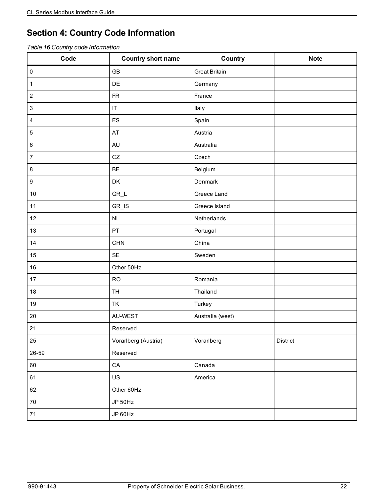## <span id="page-21-0"></span>**Section 4: Country Code Information**

*Table 16 Country code Information*

| Code             | <b>Country short name</b> | Country              | <b>Note</b> |
|------------------|---------------------------|----------------------|-------------|
| $\pmb{0}$        | <b>GB</b>                 | <b>Great Britain</b> |             |
| $\mathbf 1$      | DE                        | Germany              |             |
| $\boldsymbol{2}$ | ${\sf FR}$                | France               |             |
| $\mathsf 3$      | $ \mathsf{T} $            | Italy                |             |
| $\overline{4}$   | ES                        | Spain                |             |
| $\mathbf 5$      | AT                        | Austria              |             |
| $\,6\,$          | <b>AU</b>                 | Australia            |             |
| $\boldsymbol{7}$ | ${\tt CZ}$                | Czech                |             |
| 8                | BE                        | Belgium              |             |
| $\boldsymbol{9}$ | DK                        | Denmark              |             |
| $10$             | $GR_L$                    | Greece Land          |             |
| 11               | $GR$ <sub>_IS</sub>       | Greece Island        |             |
| 12               | NL                        | Netherlands          |             |
| 13               | PT                        | Portugal             |             |
| 14               | CHN                       | China                |             |
| 15               | SE                        | Sweden               |             |
| 16               | Other 50Hz                |                      |             |
| 17               | <b>RO</b>                 | Romania              |             |
| 18               | <b>TH</b>                 | Thailand             |             |
| 19               | TK                        | Turkey               |             |
| 20               | AU-WEST                   | Australia (west)     |             |
| 21               | Reserved                  |                      |             |
| 25               | Vorarlberg (Austria)      | Vorarlberg           | District    |
| 26-59            | Reserved                  |                      |             |
| 60               | ${\sf CA}$                | Canada               |             |
| 61               | US                        | America              |             |
| 62               | Other 60Hz                |                      |             |
| $70\,$           | JP 50Hz                   |                      |             |
| 71               | JP 60Hz                   |                      |             |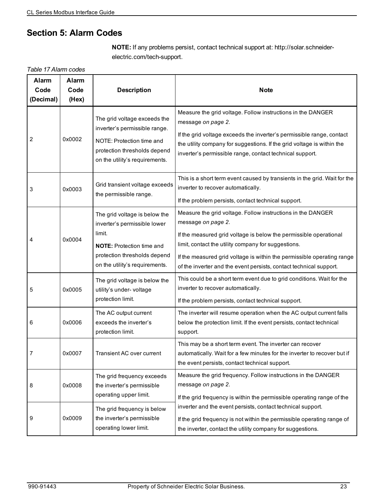## **Section 5: Alarm Codes**

**NOTE:** If any problems persist, contact technical support at: http://solar.schneiderelectric.com/tech-support.

*Table 17 Alarm codes*

| <b>Alarm</b><br>Code<br>(Decimal) | Alarm<br>Code<br>(Hex) | <b>Description</b>                                                                                                                                                            | <b>Note</b>                                                                                                                                                                                                                                                                                                                                                   |
|-----------------------------------|------------------------|-------------------------------------------------------------------------------------------------------------------------------------------------------------------------------|---------------------------------------------------------------------------------------------------------------------------------------------------------------------------------------------------------------------------------------------------------------------------------------------------------------------------------------------------------------|
| 2                                 | 0x0002                 | The grid voltage exceeds the<br>inverter's permissible range.<br>NOTE: Protection time and<br>protection thresholds depend<br>on the utility's requirements.                  | Measure the grid voltage. Follow instructions in the DANGER<br>message on page 2.<br>If the grid voltage exceeds the inverter's permissible range, contact<br>the utility company for suggestions. If the grid voltage is within the<br>inverter's permissible range, contact technical support.                                                              |
| 3                                 | 0x0003                 | Grid transient voltage exceeds<br>the permissible range.                                                                                                                      | This is a short term event caused by transients in the grid. Wait for the<br>inverter to recover automatically.<br>If the problem persists, contact technical support.                                                                                                                                                                                        |
| 4                                 | 0x0004                 | The grid voltage is below the<br>inverter's permissible lower<br>limit.<br><b>NOTE:</b> Protection time and<br>protection thresholds depend<br>on the utility's requirements. | Measure the grid voltage. Follow instructions in the DANGER<br>message on page 2.<br>If the measured grid voltage is below the permissible operational<br>limit, contact the utility company for suggestions.<br>If the measured grid voltage is within the permissible operating range<br>of the inverter and the event persists, contact technical support. |
| 5                                 | 0x0005                 | The grid voltage is below the<br>utility's under- voltage<br>protection limit.                                                                                                | This could be a short term event due to grid conditions. Wait for the<br>inverter to recover automatically.<br>If the problem persists, contact technical support.                                                                                                                                                                                            |
| 6                                 | 0x0006                 | The AC output current<br>exceeds the inverter's<br>protection limit.                                                                                                          | The inverter will resume operation when the AC output current falls<br>below the protection limit. If the event persists, contact technical<br>support.                                                                                                                                                                                                       |
| 7                                 | 0x0007                 | Transient AC over current                                                                                                                                                     | This may be a short term event. The inverter can recover<br>automatically. Wait for a few minutes for the inverter to recover but if<br>the event persists, contact technical support.                                                                                                                                                                        |
| 8                                 | 0x0008                 | The grid frequency exceeds<br>the inverter's permissible<br>operating upper limit.                                                                                            | Measure the grid frequency. Follow instructions in the DANGER<br>message on page 2.<br>If the grid frequency is within the permissible operating range of the                                                                                                                                                                                                 |
| 9                                 | 0x0009                 | The grid frequency is below<br>the inverter's permissible<br>operating lower limit.                                                                                           | inverter and the event persists, contact technical support.<br>If the grid frequency is not within the permissible operating range of<br>the inverter, contact the utility company for suggestions.                                                                                                                                                           |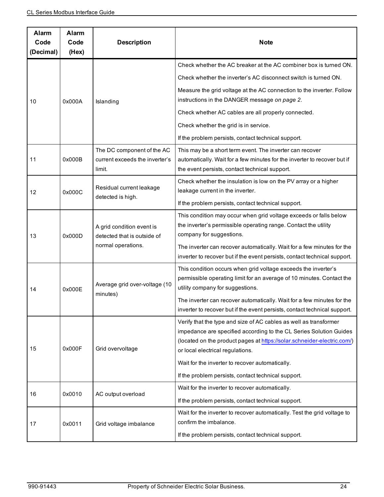| Alarm<br>Code<br>(Decimal) | Alarm<br>Code<br>(Hex) | <b>Description</b>                                                     | <b>Note</b>                                                                                                                                                                                                                                            |
|----------------------------|------------------------|------------------------------------------------------------------------|--------------------------------------------------------------------------------------------------------------------------------------------------------------------------------------------------------------------------------------------------------|
|                            |                        |                                                                        | Check whether the AC breaker at the AC combiner box is turned ON.                                                                                                                                                                                      |
|                            |                        |                                                                        | Check whether the inverter's AC disconnect switch is turned ON.                                                                                                                                                                                        |
| 10                         | 0x000A                 | Islanding                                                              | Measure the grid voltage at the AC connection to the inverter. Follow<br>instructions in the DANGER message on page 2.                                                                                                                                 |
|                            |                        |                                                                        | Check whether AC cables are all properly connected.                                                                                                                                                                                                    |
|                            |                        |                                                                        | Check whether the grid is in service.                                                                                                                                                                                                                  |
|                            |                        |                                                                        | If the problem persists, contact technical support.                                                                                                                                                                                                    |
| 11                         | 0x000B                 | The DC component of the AC<br>current exceeds the inverter's<br>limit. | This may be a short term event. The inverter can recover<br>automatically. Wait for a few minutes for the inverter to recover but if<br>the event persists, contact technical support.                                                                 |
| 12                         | 0x000C                 | Residual current leakage                                               | Check whether the insulation is low on the PV array or a higher<br>leakage current in the inverter.                                                                                                                                                    |
|                            |                        | detected is high.                                                      | If the problem persists, contact technical support.                                                                                                                                                                                                    |
| 13                         | 0x000D                 | A grid condition event is<br>detected that is outside of               | This condition may occur when grid voltage exceeds or falls below<br>the inverter's permissible operating range. Contact the utility<br>company for suggestions.                                                                                       |
|                            |                        | normal operations.                                                     | The inverter can recover automatically. Wait for a few minutes for the<br>inverter to recover but if the event persists, contact technical support.                                                                                                    |
| 14                         | 0x000E                 | Average grid over-voltage (10                                          | This condition occurs when grid voltage exceeds the inverter's<br>permissible operating limit for an average of 10 minutes. Contact the<br>utility company for suggestions.                                                                            |
|                            |                        | minutes)                                                               | The inverter can recover automatically. Wait for a few minutes for the<br>inverter to recover but if the event persists, contact technical support.                                                                                                    |
| 15                         | 0x000F                 | Grid overvoltage                                                       | Verify that the type and size of AC cables as well as transformer<br>impedance are specified according to the CL Series Solution Guides<br>(located on the product pages at https://solar.schneider-electric.com/)<br>or local electrical regulations. |
|                            |                        |                                                                        | Wait for the inverter to recover automatically.                                                                                                                                                                                                        |
|                            |                        |                                                                        | If the problem persists, contact technical support.                                                                                                                                                                                                    |
| 16                         | 0x0010                 | AC output overload                                                     | Wait for the inverter to recover automatically.                                                                                                                                                                                                        |
|                            |                        |                                                                        | If the problem persists, contact technical support.                                                                                                                                                                                                    |
| 17                         | 0x0011                 | Grid voltage imbalance                                                 | Wait for the inverter to recover automatically. Test the grid voltage to<br>confirm the imbalance.                                                                                                                                                     |
|                            |                        |                                                                        | If the problem persists, contact technical support.                                                                                                                                                                                                    |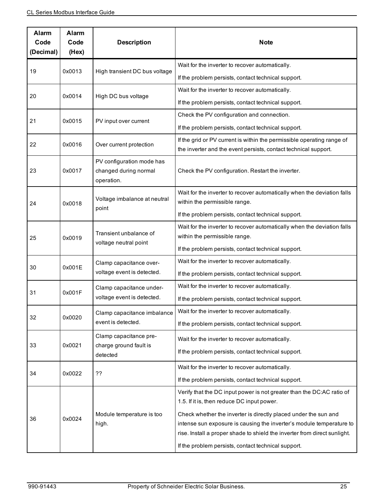| Alarm<br>Code<br>(Decimal) | Alarm<br>Code<br>(Hex) | <b>Description</b>                                               | <b>Note</b>                                                                                                                                                                                                          |
|----------------------------|------------------------|------------------------------------------------------------------|----------------------------------------------------------------------------------------------------------------------------------------------------------------------------------------------------------------------|
|                            | 0x0013                 | High transient DC bus voltage                                    | Wait for the inverter to recover automatically.                                                                                                                                                                      |
| 19                         |                        |                                                                  | If the problem persists, contact technical support.                                                                                                                                                                  |
| 20                         | 0x0014                 | High DC bus voltage                                              | Wait for the inverter to recover automatically.                                                                                                                                                                      |
|                            |                        |                                                                  | If the problem persists, contact technical support.                                                                                                                                                                  |
| 21                         | 0x0015                 | PV input over current                                            | Check the PV configuration and connection.                                                                                                                                                                           |
|                            |                        |                                                                  | If the problem persists, contact technical support.                                                                                                                                                                  |
| 22                         | 0x0016                 | Over current protection                                          | If the grid or PV current is within the permissible operating range of                                                                                                                                               |
|                            |                        |                                                                  | the inverter and the event persists, contact technical support.                                                                                                                                                      |
| 23                         | 0x0017                 | PV configuration mode has<br>changed during normal<br>operation. | Check the PV configuration. Restart the inverter.                                                                                                                                                                    |
|                            |                        | Voltage imbalance at neutral<br>point                            | Wait for the inverter to recover automatically when the deviation falls                                                                                                                                              |
| 24                         | 0x0018                 |                                                                  | within the permissible range.                                                                                                                                                                                        |
|                            |                        |                                                                  | If the problem persists, contact technical support.                                                                                                                                                                  |
|                            | 0x0019                 | Transient unbalance of<br>voltage neutral point                  | Wait for the inverter to recover automatically when the deviation falls<br>within the permissible range.                                                                                                             |
| 25                         |                        |                                                                  | If the problem persists, contact technical support.                                                                                                                                                                  |
|                            |                        | Clamp capacitance over-<br>voltage event is detected.            | Wait for the inverter to recover automatically.                                                                                                                                                                      |
| 30                         | 0x001E                 |                                                                  | If the problem persists, contact technical support.                                                                                                                                                                  |
|                            |                        | Clamp capacitance under-<br>voltage event is detected.           | Wait for the inverter to recover automatically.                                                                                                                                                                      |
| 31                         | 0x001F                 |                                                                  | If the problem persists, contact technical support.                                                                                                                                                                  |
|                            |                        | Clamp capacitance imbalance                                      | Wait for the inverter to recover automatically.                                                                                                                                                                      |
| 32                         | 0x0020                 | event is detected.                                               | If the problem persists, contact technical support.                                                                                                                                                                  |
|                            |                        | Clamp capacitance pre-                                           | Wait for the inverter to recover automatically.                                                                                                                                                                      |
| 33                         | 0x0021                 | charge ground fault is<br>detected                               | If the problem persists, contact technical support.                                                                                                                                                                  |
|                            |                        |                                                                  | Wait for the inverter to recover automatically.                                                                                                                                                                      |
| 34                         | 0x0022                 | ??                                                               | If the problem persists, contact technical support.                                                                                                                                                                  |
|                            |                        |                                                                  | Verify that the DC input power is not greater than the DC:AC ratio of<br>1.5. If it is, then reduce DC input power.                                                                                                  |
| 36                         | 0x0024                 | Module temperature is too<br>high.                               | Check whether the inverter is directly placed under the sun and<br>intense sun exposure is causing the inverter's module temperature to<br>rise. Install a proper shade to shield the inverter from direct sunlight. |
|                            |                        |                                                                  | If the problem persists, contact technical support.                                                                                                                                                                  |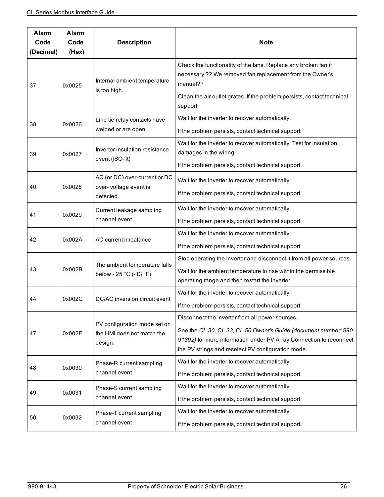| Alarm<br>Code<br>(Decimal) | Alarm<br>Code<br>(Hex) | <b>Description</b>                                      | <b>Note</b>                                                                                                                                                                                                       |
|----------------------------|------------------------|---------------------------------------------------------|-------------------------------------------------------------------------------------------------------------------------------------------------------------------------------------------------------------------|
| 37                         | 0x0025                 | Internal ambient temperature<br>is too high.            | Check the functionality of the fans. Replace any broken fan if<br>necessary.?? We removed fan replacement from the Owner's<br>manual??<br>Clean the air outlet grates. If the problem persists, contact technical |
|                            |                        |                                                         | support.                                                                                                                                                                                                          |
| 38                         | 0x0026                 | Line tie relay contacts have<br>welded or are open.     | Wait for the inverter to recover automatically.<br>If the problem persists, contact technical support.                                                                                                            |
| 39                         | 0x0027                 | Inverter insulation resistance<br>event (ISO-fit)       | Wait for the inverter to recover automatically. Test for insulation<br>damages in the wiring.                                                                                                                     |
|                            |                        |                                                         | If the problem persists, contact technical support.                                                                                                                                                               |
|                            |                        | AC (or DC) over-current or DC                           | Wait for the inverter to recover automatically.                                                                                                                                                                   |
| 40                         | 0x0028                 | over- voltage event is<br>detected.                     | If the problem persists, contact technical support.                                                                                                                                                               |
| 41                         | 0x0029                 | Current leakage sampling<br>channel event               | Wait for the inverter to recover automatically.                                                                                                                                                                   |
|                            |                        |                                                         | If the problem persists, contact technical support.                                                                                                                                                               |
| 42                         | 0x002A                 | AC current imbalance                                    | Wait for the inverter to recover automatically.                                                                                                                                                                   |
|                            |                        |                                                         | If the problem persists, contact technical support.                                                                                                                                                               |
|                            | 0x002B                 | The ambient temperature falls<br>below - 25 °C (-13 °F) | Stop operating the inverter and disconnect it from all power sources.                                                                                                                                             |
| 43                         |                        |                                                         | Wait for the ambient temperature to rise within the permissible                                                                                                                                                   |
|                            |                        |                                                         | operating range and then restart the inverter.                                                                                                                                                                    |
| 44                         | 0x002C                 | DC/AC inversion circuit event                           | Wait for the inverter to recover automatically.                                                                                                                                                                   |
|                            |                        |                                                         | If the problem persists, contact technical support.                                                                                                                                                               |
|                            |                        | PV configuration mode set on                            | Disconnect the inverter from all power sources.                                                                                                                                                                   |
| 47                         | 0x002F                 | the HMI does not match the                              | See the CL 30, CL 33, CL 50 Owner's Guide (document number: 990-                                                                                                                                                  |
|                            |                        | design.                                                 | 91392) for more information under PV Array Connection to reconnect<br>the PV strings and reselect PV configuration mode.                                                                                          |
|                            |                        |                                                         | Wait for the inverter to recover automatically.                                                                                                                                                                   |
| 48                         | 0x0030                 | Phase-R current sampling<br>channel event               | If the problem persists, contact technical support.                                                                                                                                                               |
|                            |                        | Phase-S current sampling                                | Wait for the inverter to recover automatically.                                                                                                                                                                   |
| 49                         | 0x0031                 | channel event                                           | If the problem persists, contact technical support.                                                                                                                                                               |
|                            |                        | Phase-T current sampling                                | Wait for the inverter to recover automatically.                                                                                                                                                                   |
| 50                         | 0x0032                 | channel event                                           | If the problem persists, contact technical support.                                                                                                                                                               |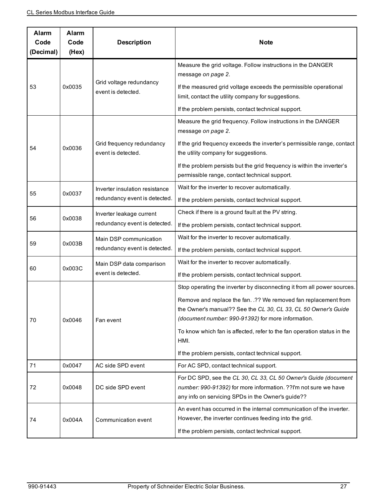| Alarm<br>Code<br>(Decimal) | Alarm<br>Code<br>(Hex) | <b>Description</b>                                              | <b>Note</b>                                                                                                                                                                             |
|----------------------------|------------------------|-----------------------------------------------------------------|-----------------------------------------------------------------------------------------------------------------------------------------------------------------------------------------|
|                            |                        |                                                                 | Measure the grid voltage. Follow instructions in the DANGER<br>message on page 2.                                                                                                       |
| 53                         | 0x0035                 | Grid voltage redundancy<br>event is detected.                   | If the measured grid voltage exceeds the permissible operational<br>limit, contact the utility company for suggestions.                                                                 |
|                            |                        |                                                                 | If the problem persists, contact technical support.                                                                                                                                     |
|                            |                        |                                                                 | Measure the grid frequency. Follow instructions in the DANGER<br>message on page 2.                                                                                                     |
| 54                         | 0x0036                 | Grid frequency redundancy<br>event is detected.                 | If the grid frequency exceeds the inverter's permissible range, contact<br>the utility company for suggestions.                                                                         |
|                            |                        |                                                                 | If the problem persists but the grid frequency is within the inverter's<br>permissible range, contact technical support.                                                                |
| 55                         | 0x0037                 | Inverter insulation resistance<br>redundancy event is detected. | Wait for the inverter to recover automatically.                                                                                                                                         |
|                            |                        |                                                                 | If the problem persists, contact technical support.                                                                                                                                     |
| 56                         | 0x0038                 | Inverter leakage current<br>redundancy event is detected.       | Check if there is a ground fault at the PV string.                                                                                                                                      |
|                            |                        |                                                                 | If the problem persists, contact technical support.                                                                                                                                     |
| 59                         | 0x003B                 | Main DSP communication<br>redundancy event is detected.         | Wait for the inverter to recover automatically.                                                                                                                                         |
|                            |                        |                                                                 | If the problem persists, contact technical support.                                                                                                                                     |
| 60                         | 0x003C                 | Main DSP data comparison<br>event is detected.                  | Wait for the inverter to recover automatically.                                                                                                                                         |
|                            |                        |                                                                 | If the problem persists, contact technical support.                                                                                                                                     |
|                            | 0x0046                 |                                                                 | Stop operating the inverter by disconnecting it from all power sources.                                                                                                                 |
|                            |                        |                                                                 | Remove and replace the fan. .?? We removed fan replacement from<br>the Owner's manual?? See the CL 30, CL 33, CL 50 Owner's Guide                                                       |
| 70                         |                        | Fan event                                                       | (document number: 990-91392) for more information.                                                                                                                                      |
|                            |                        |                                                                 | To know which fan is affected, refer to the fan operation status in the<br>HMI.                                                                                                         |
|                            |                        |                                                                 | If the problem persists, contact technical support.                                                                                                                                     |
| 71                         | 0x0047                 | AC side SPD event                                               | For AC SPD, contact technical support.                                                                                                                                                  |
| 72                         | 0x0048                 | DC side SPD event                                               | For DC SPD, see the CL 30, CL 33, CL 50 Owner's Guide (document<br>number: 990-91392) for more information. ??I'm not sure we have<br>any info on servicing SPDs in the Owner's guide?? |
| 74                         | 0x004A                 | Communication event                                             | An event has occurred in the internal communication of the inverter.<br>However, the inverter continues feeding into the grid.                                                          |
|                            |                        |                                                                 | If the problem persists, contact technical support.                                                                                                                                     |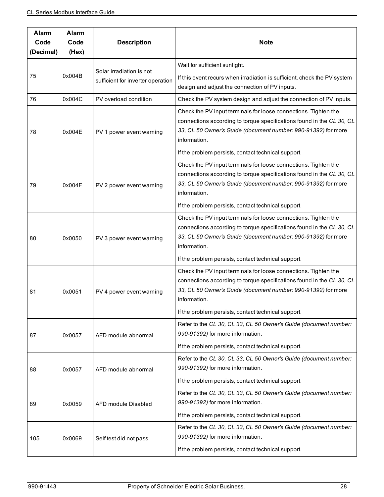| Alarm<br>Code<br>(Decimal) | Alarm<br>Code<br>(Hex) | <b>Description</b>                                            | <b>Note</b>                                                                                                                                                                                                               |
|----------------------------|------------------------|---------------------------------------------------------------|---------------------------------------------------------------------------------------------------------------------------------------------------------------------------------------------------------------------------|
|                            |                        |                                                               | Wait for sufficient sunlight.                                                                                                                                                                                             |
| 75                         | 0x004B                 | Solar irradiation is not<br>sufficient for inverter operation | If this event recurs when irradiation is sufficient, check the PV system<br>design and adjust the connection of PV inputs.                                                                                                |
| 76                         | 0x004C                 | PV overload condition                                         | Check the PV system design and adjust the connection of PV inputs.                                                                                                                                                        |
| 78                         | 0x004E                 | PV 1 power event warning                                      | Check the PV input terminals for loose connections. Tighten the<br>connections according to torque specifications found in the CL 30, CL<br>33, CL 50 Owner's Guide (document number: 990-91392) for more<br>information. |
|                            |                        |                                                               | If the problem persists, contact technical support.                                                                                                                                                                       |
| 79                         | 0x004F                 | PV 2 power event warning                                      | Check the PV input terminals for loose connections. Tighten the<br>connections according to torque specifications found in the CL 30, CL<br>33, CL 50 Owner's Guide (document number: 990-91392) for more<br>information. |
|                            |                        |                                                               | If the problem persists, contact technical support.                                                                                                                                                                       |
| 80                         | 0x0050                 | PV 3 power event warning                                      | Check the PV input terminals for loose connections. Tighten the<br>connections according to torque specifications found in the CL 30, CL<br>33, CL 50 Owner's Guide (document number: 990-91392) for more<br>information. |
|                            |                        |                                                               | If the problem persists, contact technical support.                                                                                                                                                                       |
| 81                         | 0x0051                 | PV 4 power event warning                                      | Check the PV input terminals for loose connections. Tighten the<br>connections according to torque specifications found in the CL 30, CL<br>33, CL 50 Owner's Guide (document number: 990-91392) for more<br>information. |
|                            |                        |                                                               | If the problem persists, contact technical support.                                                                                                                                                                       |
| 87                         | 0x0057                 | AFD module abnormal                                           | Refer to the CL 30, CL 33, CL 50 Owner's Guide (document number:<br>990-91392) for more information.                                                                                                                      |
|                            |                        |                                                               | If the problem persists, contact technical support.                                                                                                                                                                       |
| 88                         | 0x0057                 | AFD module abnormal                                           | Refer to the CL 30, CL 33, CL 50 Owner's Guide (document number:<br>990-91392) for more information.                                                                                                                      |
|                            |                        |                                                               | If the problem persists, contact technical support.                                                                                                                                                                       |
| 89                         | 0x0059                 | AFD module Disabled                                           | Refer to the CL 30, CL 33, CL 50 Owner's Guide (document number:<br>990-91392) for more information.                                                                                                                      |
|                            |                        |                                                               | If the problem persists, contact technical support.                                                                                                                                                                       |
| 105                        | 0x0069                 | Self test did not pass                                        | Refer to the CL 30, CL 33, CL 50 Owner's Guide (document number:<br>990-91392) for more information.                                                                                                                      |
|                            |                        |                                                               | If the problem persists, contact technical support.                                                                                                                                                                       |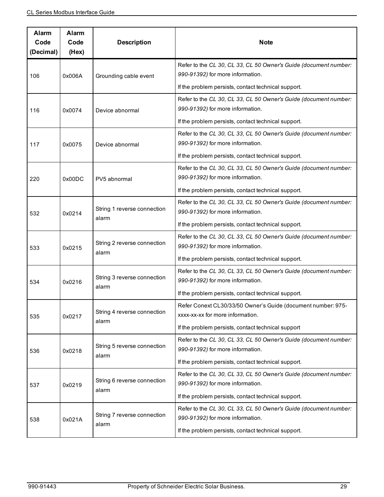| Alarm<br>Code<br>(Decimal) | Alarm<br>Code<br>(Hex) | <b>Description</b>                   | <b>Note</b>                                                                                          |
|----------------------------|------------------------|--------------------------------------|------------------------------------------------------------------------------------------------------|
| 106                        | 0x006A                 | Grounding cable event                | Refer to the CL 30, CL 33, CL 50 Owner's Guide (document number:<br>990-91392) for more information. |
|                            |                        |                                      | If the problem persists, contact technical support.                                                  |
| 116                        | 0x0074                 | Device abnormal                      | Refer to the CL 30, CL 33, CL 50 Owner's Guide (document number:<br>990-91392) for more information. |
|                            |                        |                                      | If the problem persists, contact technical support.                                                  |
| 117                        | 0x0075                 | Device abnormal                      | Refer to the CL 30, CL 33, CL 50 Owner's Guide (document number:<br>990-91392) for more information. |
|                            |                        |                                      | If the problem persists, contact technical support.                                                  |
| 220                        | 0x00DC                 | PV5 abnormal                         | Refer to the CL 30, CL 33, CL 50 Owner's Guide (document number:<br>990-91392) for more information. |
|                            |                        |                                      | If the problem persists, contact technical support.                                                  |
| 532                        | 0x0214                 | String 1 reverse connection<br>alarm | Refer to the CL 30, CL 33, CL 50 Owner's Guide (document number:<br>990-91392) for more information. |
|                            |                        |                                      | If the problem persists, contact technical support.                                                  |
| 533                        | 0x0215                 | String 2 reverse connection          | Refer to the CL 30, CL 33, CL 50 Owner's Guide (document number:<br>990-91392) for more information. |
|                            |                        | alarm                                | If the problem persists, contact technical support.                                                  |
| 534                        | 0x0216                 | String 3 reverse connection<br>alarm | Refer to the CL 30, CL 33, CL 50 Owner's Guide (document number:<br>990-91392) for more information. |
|                            |                        |                                      | If the problem persists, contact technical support.                                                  |
| 535                        | 0x0217                 | String 4 reverse connection<br>alarm | Refer Conext CL30/33/50 Owner's Guide (document number: 975-<br>xxxx-xx-xx for more information.     |
|                            |                        |                                      | If the problem persists, contact technical support                                                   |
| 536                        | 0x0218                 | String 5 reverse connection          | Refer to the CL 30, CL 33, CL 50 Owner's Guide (document number:<br>990-91392) for more information. |
|                            |                        | alarm                                | If the problem persists, contact technical support.                                                  |
| 537                        | 0x0219                 | String 6 reverse connection<br>alarm | Refer to the CL 30, CL 33, CL 50 Owner's Guide (document number:<br>990-91392) for more information. |
|                            |                        |                                      | If the problem persists, contact technical support.                                                  |
| 538                        | 0x021A                 | String 7 reverse connection<br>alarm | Refer to the CL 30, CL 33, CL 50 Owner's Guide (document number:<br>990-91392) for more information. |
|                            |                        |                                      | If the problem persists, contact technical support.                                                  |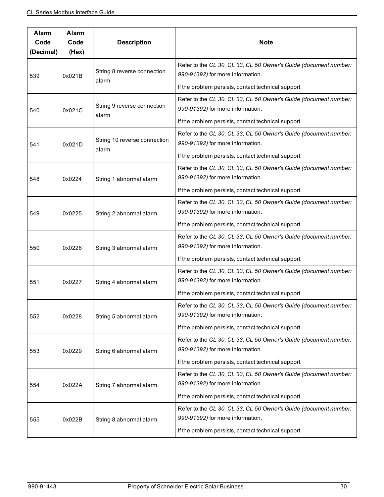| Alarm<br>Code<br>(Decimal) | Alarm<br>Code<br>(Hex) | <b>Description</b>                    | <b>Note</b>                                                                                          |
|----------------------------|------------------------|---------------------------------------|------------------------------------------------------------------------------------------------------|
| 539                        | 0x021B                 | String 8 reverse connection<br>alarm  | Refer to the CL 30, CL 33, CL 50 Owner's Guide (document number:<br>990-91392) for more information. |
|                            |                        |                                       | If the problem persists, contact technical support.                                                  |
| 540                        | 0x021C                 | String 9 reverse connection<br>alarm  | Refer to the CL 30, CL 33, CL 50 Owner's Guide (document number:<br>990-91392) for more information. |
|                            |                        |                                       | If the problem persists, contact technical support.                                                  |
| 541                        | 0x021D                 | String 10 reverse connection<br>alarm | Refer to the CL 30, CL 33, CL 50 Owner's Guide (document number:<br>990-91392) for more information. |
|                            |                        |                                       | If the problem persists, contact technical support.                                                  |
| 548                        | 0x0224                 | String 1 abnormal alarm               | Refer to the CL 30, CL 33, CL 50 Owner's Guide (document number:<br>990-91392) for more information. |
|                            |                        |                                       | If the problem persists, contact technical support.                                                  |
| 549                        | 0x0225                 | String 2 abnormal alarm               | Refer to the CL 30, CL 33, CL 50 Owner's Guide (document number:<br>990-91392) for more information. |
|                            |                        |                                       | If the problem persists, contact technical support.                                                  |
| 550                        | 0x0226                 | String 3 abnormal alarm               | Refer to the CL 30, CL 33, CL 50 Owner's Guide (document number:<br>990-91392) for more information. |
|                            |                        |                                       | If the problem persists, contact technical support.                                                  |
| 551                        | 0x0227                 | String 4 abnormal alarm               | Refer to the CL 30, CL 33, CL 50 Owner's Guide (document number:<br>990-91392) for more information. |
|                            |                        |                                       | If the problem persists, contact technical support.                                                  |
| 552                        | 0x0228                 | String 5 abnormal alarm               | Refer to the CL 30, CL 33, CL 50 Owner's Guide (document number:<br>990-91392) for more information. |
|                            |                        |                                       | If the problem persists, contact technical support.                                                  |
| 553                        | 0x0229                 | String 6 abnormal alarm               | Refer to the CL 30, CL 33, CL 50 Owner's Guide (document number:<br>990-91392) for more information. |
|                            |                        |                                       | If the problem persists, contact technical support.                                                  |
| 554                        | 0x022A                 | String 7 abnormal alarm               | Refer to the CL 30, CL 33, CL 50 Owner's Guide (document number:<br>990-91392) for more information. |
|                            |                        |                                       | If the problem persists, contact technical support.                                                  |
| 555                        | 0x022B                 | String 8 abnormal alarm               | Refer to the CL 30, CL 33, CL 50 Owner's Guide (document number:<br>990-91392) for more information. |
|                            |                        |                                       | If the problem persists, contact technical support.                                                  |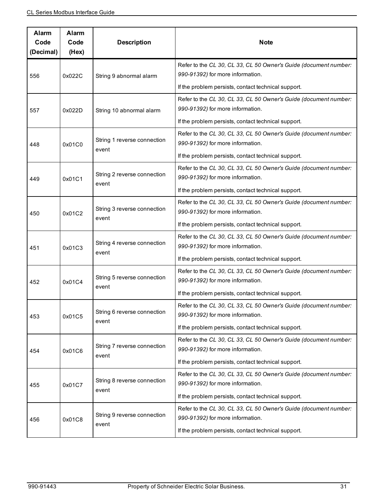| Alarm<br>Code<br>(Decimal) | Alarm<br>Code<br>(Hex) | <b>Description</b>                   | <b>Note</b>                                                                                          |
|----------------------------|------------------------|--------------------------------------|------------------------------------------------------------------------------------------------------|
| 556                        | 0x022C                 | String 9 abnormal alarm              | Refer to the CL 30, CL 33, CL 50 Owner's Guide (document number:<br>990-91392) for more information. |
|                            |                        |                                      | If the problem persists, contact technical support.                                                  |
| 557                        | 0x022D                 | String 10 abnormal alarm             | Refer to the CL 30, CL 33, CL 50 Owner's Guide (document number:<br>990-91392) for more information. |
|                            |                        |                                      | If the problem persists, contact technical support.                                                  |
| 448                        | 0x01C0                 | String 1 reverse connection<br>event | Refer to the CL 30, CL 33, CL 50 Owner's Guide (document number:<br>990-91392) for more information. |
|                            |                        |                                      | If the problem persists, contact technical support.                                                  |
| 449                        | 0x01C1                 | String 2 reverse connection          | Refer to the CL 30, CL 33, CL 50 Owner's Guide (document number:<br>990-91392) for more information. |
|                            |                        | event                                | If the problem persists, contact technical support.                                                  |
| 450                        | 0x01C2                 | String 3 reverse connection<br>event | Refer to the CL 30, CL 33, CL 50 Owner's Guide (document number:<br>990-91392) for more information. |
|                            |                        |                                      | If the problem persists, contact technical support.                                                  |
| 451                        | 0x01C3                 | String 4 reverse connection<br>event | Refer to the CL 30, CL 33, CL 50 Owner's Guide (document number:<br>990-91392) for more information. |
|                            |                        |                                      | If the problem persists, contact technical support.                                                  |
| 452                        | 0x01C4                 | String 5 reverse connection<br>event | Refer to the CL 30, CL 33, CL 50 Owner's Guide (document number:<br>990-91392) for more information. |
|                            |                        |                                      | If the problem persists, contact technical support.                                                  |
| 453                        | 0x01C5                 | String 6 reverse connection<br>event | Refer to the CL 30, CL 33, CL 50 Owner's Guide (document number:<br>990-91392) for more information. |
|                            |                        |                                      | If the problem persists, contact technical support.                                                  |
| 454                        | 0x01C6                 | String 7 reverse connection          | Refer to the CL 30, CL 33, CL 50 Owner's Guide (document number:<br>990-91392) for more information. |
|                            |                        | event                                | If the problem persists, contact technical support.                                                  |
| 455                        | 0x01C7                 | String 8 reverse connection          | Refer to the CL 30, CL 33, CL 50 Owner's Guide (document number:<br>990-91392) for more information. |
|                            |                        | event                                | If the problem persists, contact technical support.                                                  |
| 456                        | 0x01C8                 | String 9 reverse connection<br>event | Refer to the CL 30, CL 33, CL 50 Owner's Guide (document number:<br>990-91392) for more information. |
|                            |                        |                                      | If the problem persists, contact technical support.                                                  |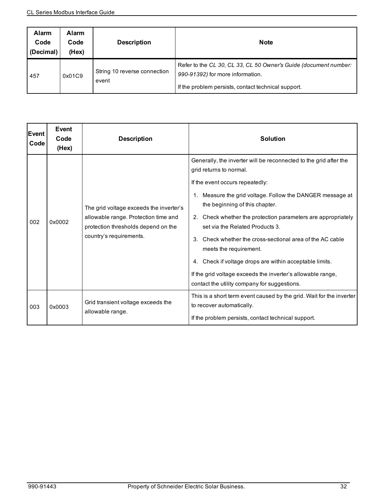| Alarm<br>Code<br>(Decimal) | <b>Alarm</b><br>Code<br>(Hex) | <b>Description</b>                    | <b>Note</b>                                                                                                                                                 |
|----------------------------|-------------------------------|---------------------------------------|-------------------------------------------------------------------------------------------------------------------------------------------------------------|
| 457                        | 0x01C9                        | String 10 reverse connection<br>event | Refer to the CL 30, CL 33, CL 50 Owner's Guide (document number:<br>990-91392) for more information.<br>If the problem persists, contact technical support. |

| <b>IEvent</b><br>Code | Event<br>Code<br>(Hex) | <b>Description</b>                                                                                                                                | <b>Solution</b>                                                                                                                                                                                                                                                                                                                                                                                                                                                                                                                                                                                            |
|-----------------------|------------------------|---------------------------------------------------------------------------------------------------------------------------------------------------|------------------------------------------------------------------------------------------------------------------------------------------------------------------------------------------------------------------------------------------------------------------------------------------------------------------------------------------------------------------------------------------------------------------------------------------------------------------------------------------------------------------------------------------------------------------------------------------------------------|
| 002                   | 0x0002                 | The grid voltage exceeds the inverter's<br>allowable range. Protection time and<br>protection thresholds depend on the<br>country's requirements. | Generally, the inverter will be reconnected to the grid after the<br>grid returns to normal.<br>If the event occurs repeatedly:<br>1. Measure the grid voltage. Follow the DANGER message at<br>the beginning of this chapter.<br>2. Check whether the protection parameters are appropriately<br>set via the Related Products 3.<br>Check whether the cross-sectional area of the AC cable<br>$3_{-}$<br>meets the requirement.<br>4. Check if voltage drops are within acceptable limits.<br>If the grid voltage exceeds the inverter's allowable range,<br>contact the utility company for suggestions. |
| 003                   | 0x0003                 | Grid transient voltage exceeds the<br>allowable range.                                                                                            | This is a short term event caused by the grid. Wait for the inverter<br>to recover automatically.<br>If the problem persists, contact technical support.                                                                                                                                                                                                                                                                                                                                                                                                                                                   |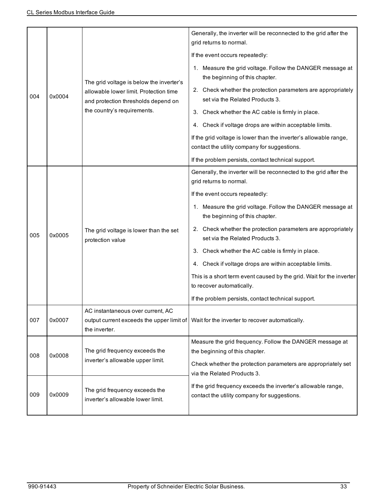|     |        |                                                                                                                           | Generally, the inverter will be reconnected to the grid after the<br>grid returns to normal.                      |
|-----|--------|---------------------------------------------------------------------------------------------------------------------------|-------------------------------------------------------------------------------------------------------------------|
|     |        | The grid voltage is below the inverter's<br>allowable lower limit. Protection time<br>and protection thresholds depend on | If the event occurs repeatedly:                                                                                   |
|     |        |                                                                                                                           | 1. Measure the grid voltage. Follow the DANGER message at<br>the beginning of this chapter.                       |
| 004 | 0x0004 |                                                                                                                           | 2. Check whether the protection parameters are appropriately<br>set via the Related Products 3.                   |
|     |        | the country's requirements.                                                                                               | 3. Check whether the AC cable is firmly in place.                                                                 |
|     |        |                                                                                                                           | 4. Check if voltage drops are within acceptable limits.                                                           |
|     |        |                                                                                                                           | If the grid voltage is lower than the inverter's allowable range,<br>contact the utility company for suggestions. |
|     |        |                                                                                                                           | If the problem persists, contact technical support.                                                               |
|     |        | The grid voltage is lower than the set<br>protection value                                                                | Generally, the inverter will be reconnected to the grid after the<br>grid returns to normal.                      |
|     | 0x0005 |                                                                                                                           | If the event occurs repeatedly:                                                                                   |
|     |        |                                                                                                                           | 1. Measure the grid voltage. Follow the DANGER message at<br>the beginning of this chapter.                       |
| 005 |        |                                                                                                                           | 2. Check whether the protection parameters are appropriately<br>set via the Related Products 3.                   |
|     |        |                                                                                                                           | 3. Check whether the AC cable is firmly in place.                                                                 |
|     |        |                                                                                                                           | 4. Check if voltage drops are within acceptable limits.                                                           |
|     |        |                                                                                                                           | This is a short term event caused by the grid. Wait for the inverter<br>to recover automatically.                 |
|     |        |                                                                                                                           | If the problem persists, contact technical support.                                                               |
| 007 | 0x0007 | AC instantaneous over current, AC<br>the inverter.                                                                        | output current exceeds the upper limit of   Wait for the inverter to recover automatically.                       |
| 008 | 0x0008 | The grid frequency exceeds the<br>inverter's allowable upper limit.                                                       | Measure the grid frequency. Follow the DANGER message at<br>the beginning of this chapter.                        |
|     |        |                                                                                                                           | Check whether the protection parameters are appropriately set<br>via the Related Products 3.                      |
| 009 | 0x0009 | The grid frequency exceeds the<br>inverter's allowable lower limit.                                                       | If the grid frequency exceeds the inverter's allowable range,<br>contact the utility company for suggestions.     |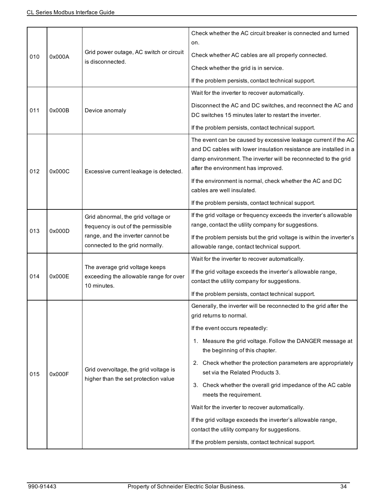| 010 |        | Grid power outage, AC switch or circuit<br>is disconnected.                                                                                       | Check whether the AC circuit breaker is connected and turned<br>on.                                                                                                                                                                          |
|-----|--------|---------------------------------------------------------------------------------------------------------------------------------------------------|----------------------------------------------------------------------------------------------------------------------------------------------------------------------------------------------------------------------------------------------|
|     | 0x000A |                                                                                                                                                   | Check whether AC cables are all properly connected.                                                                                                                                                                                          |
|     |        |                                                                                                                                                   | Check whether the grid is in service.                                                                                                                                                                                                        |
|     |        |                                                                                                                                                   | If the problem persists, contact technical support.                                                                                                                                                                                          |
|     |        |                                                                                                                                                   | Wait for the inverter to recover automatically.                                                                                                                                                                                              |
| 011 | 0x000B | Device anomaly                                                                                                                                    | Disconnect the AC and DC switches, and reconnect the AC and<br>DC switches 15 minutes later to restart the inverter.                                                                                                                         |
|     |        |                                                                                                                                                   | If the problem persists, contact technical support.                                                                                                                                                                                          |
| 012 | 0x000C | Excessive current leakage is detected.                                                                                                            | The event can be caused by excessive leakage current if the AC<br>and DC cables with lower insulation resistance are installed in a<br>damp environment. The inverter will be reconnected to the grid<br>after the environment has improved. |
|     |        |                                                                                                                                                   | If the environment is normal, check whether the AC and DC<br>cables are well insulated.                                                                                                                                                      |
|     |        |                                                                                                                                                   | If the problem persists, contact technical support.                                                                                                                                                                                          |
|     | 0x000D | Grid abnormal, the grid voltage or<br>frequency is out of the permissible<br>range, and the inverter cannot be<br>connected to the grid normally. | If the grid voltage or frequency exceeds the inverter's allowable<br>range, contact the utility company for suggestions.                                                                                                                     |
| 013 |        |                                                                                                                                                   | If the problem persists but the grid voltage is within the inverter's<br>allowable range, contact technical support.                                                                                                                         |
|     |        |                                                                                                                                                   | Wait for the inverter to recover automatically.                                                                                                                                                                                              |
| 014 | 0x000E | The average grid voltage keeps<br>exceeding the allowable range for over                                                                          | If the grid voltage exceeds the inverter's allowable range,                                                                                                                                                                                  |
|     |        | 10 minutes.                                                                                                                                       | contact the utility company for suggestions.                                                                                                                                                                                                 |
|     |        |                                                                                                                                                   | If the problem persists, contact technical support.                                                                                                                                                                                          |
|     | 0x000F | Grid overvoltage, the grid voltage is<br>higher than the set protection value                                                                     | Generally, the inverter will be reconnected to the grid after the<br>grid returns to normal.                                                                                                                                                 |
|     |        |                                                                                                                                                   | If the event occurs repeatedly:                                                                                                                                                                                                              |
|     |        |                                                                                                                                                   | 1. Measure the grid voltage. Follow the DANGER message at<br>the beginning of this chapter.                                                                                                                                                  |
| 015 |        |                                                                                                                                                   | 2. Check whether the protection parameters are appropriately<br>set via the Related Products 3.                                                                                                                                              |
|     |        |                                                                                                                                                   | 3. Check whether the overall grid impedance of the AC cable<br>meets the requirement.                                                                                                                                                        |
|     |        |                                                                                                                                                   | Wait for the inverter to recover automatically.                                                                                                                                                                                              |
|     |        |                                                                                                                                                   | If the grid voltage exceeds the inverter's allowable range,<br>contact the utility company for suggestions.                                                                                                                                  |
|     |        |                                                                                                                                                   | If the problem persists, contact technical support.                                                                                                                                                                                          |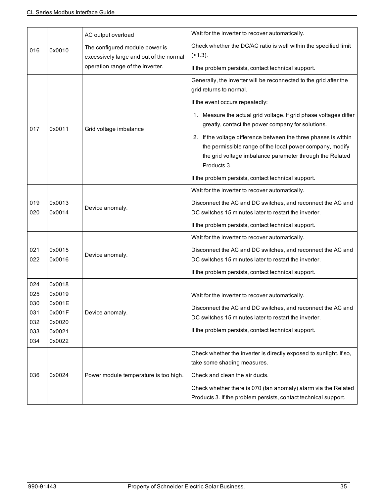|     |        | AC output overload                      | Wait for the inverter to recover automatically.                                                                        |
|-----|--------|-----------------------------------------|------------------------------------------------------------------------------------------------------------------------|
|     | 0x0010 | The configured module power is          | Check whether the DC/AC ratio is well within the specified limit                                                       |
| 016 |        | excessively large and out of the normal | $($ < 1.3).                                                                                                            |
|     |        | operation range of the inverter.        | If the problem persists, contact technical support.                                                                    |
|     |        |                                         | Generally, the inverter will be reconnected to the grid after the                                                      |
|     |        |                                         | grid returns to normal.                                                                                                |
|     |        |                                         | If the event occurs repeatedly:                                                                                        |
| 017 | 0x0011 |                                         | 1. Measure the actual grid voltage. If grid phase voltages differ<br>greatly, contact the power company for solutions. |
|     |        | Grid voltage imbalance                  | 2. If the voltage difference between the three phases is within                                                        |
|     |        |                                         | the permissible range of the local power company, modify                                                               |
|     |        |                                         | the grid voltage imbalance parameter through the Related                                                               |
|     |        |                                         | Products 3.                                                                                                            |
|     |        |                                         | If the problem persists, contact technical support.                                                                    |
|     |        |                                         | Wait for the inverter to recover automatically.                                                                        |
| 019 | 0x0013 |                                         | Disconnect the AC and DC switches, and reconnect the AC and                                                            |
| 020 | 0x0014 | Device anomaly.                         | DC switches 15 minutes later to restart the inverter.                                                                  |
|     |        |                                         | If the problem persists, contact technical support.                                                                    |
|     |        |                                         | Wait for the inverter to recover automatically.                                                                        |
| 021 | 0x0015 |                                         | Disconnect the AC and DC switches, and reconnect the AC and                                                            |
| 022 | 0x0016 | Device anomaly.                         | DC switches 15 minutes later to restart the inverter.                                                                  |
|     |        |                                         | If the problem persists, contact technical support.                                                                    |
| 024 | 0x0018 |                                         |                                                                                                                        |
| 025 | 0x0019 |                                         | Wait for the inverter to recover automatically.                                                                        |
| 030 | 0x001E |                                         | Disconnect the AC and DC switches, and reconnect the AC and                                                            |
| 031 | 0x001F | Device anomaly.                         | DC switches 15 minutes later to restart the inverter.                                                                  |
| 032 | 0x0020 |                                         |                                                                                                                        |
| 033 | 0x0021 |                                         | If the problem persists, contact technical support.                                                                    |
| 034 | 0x0022 |                                         |                                                                                                                        |
|     |        |                                         | Check whether the inverter is directly exposed to sunlight. If so,                                                     |
|     |        |                                         | take some shading measures.                                                                                            |
| 036 | 0x0024 | Power module temperature is too high.   | Check and clean the air ducts.                                                                                         |
|     |        |                                         | Check whether there is 070 (fan anomaly) alarm via the Related                                                         |
|     |        |                                         | Products 3. If the problem persists, contact technical support.                                                        |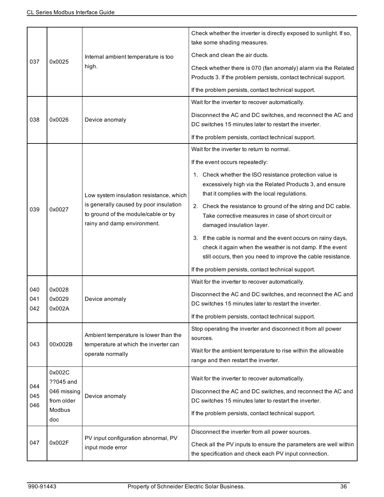| 037               | 0x0025                                                            | Internal ambient temperature is too<br>high.                                                                                                            | Check whether the inverter is directly exposed to sunlight. If so,<br>take some shading measures.<br>Check and clean the air ducts.<br>Check whether there is 070 (fan anomaly) alarm via the Related<br>Products 3. If the problem persists, contact technical support.<br>If the problem persists, contact technical support.                                                                                                                                                                                                                                                                                                                                |
|-------------------|-------------------------------------------------------------------|---------------------------------------------------------------------------------------------------------------------------------------------------------|----------------------------------------------------------------------------------------------------------------------------------------------------------------------------------------------------------------------------------------------------------------------------------------------------------------------------------------------------------------------------------------------------------------------------------------------------------------------------------------------------------------------------------------------------------------------------------------------------------------------------------------------------------------|
| 038               | 0x0026                                                            | Device anomaly                                                                                                                                          | Wait for the inverter to recover automatically.<br>Disconnect the AC and DC switches, and reconnect the AC and<br>DC switches 15 minutes later to restart the inverter.<br>If the problem persists, contact technical support.                                                                                                                                                                                                                                                                                                                                                                                                                                 |
| 039               | 0x0027                                                            | Low system insulation resistance, which<br>is generally caused by poor insulation<br>to ground of the module/cable or by<br>rainy and damp environment. | Wait for the inverter to return to normal.<br>If the event occurs repeatedly:<br>1. Check whether the ISO resistance protection value is<br>excessively high via the Related Products 3, and ensure<br>that it complies with the local regulations.<br>2. Check the resistance to ground of the string and DC cable.<br>Take corrective measures in case of short circuit or<br>damaged insulation layer.<br>3. If the cable is normal and the event occurs on rainy days,<br>check it again when the weather is not damp. If the event<br>still occurs, then you need to improve the cable resistance.<br>If the problem persists, contact technical support. |
| 040<br>041<br>042 | 0x0028<br>0x0029<br>0x002A                                        | Device anomaly                                                                                                                                          | Wait for the inverter to recover automatically.<br>Disconnect the AC and DC switches, and reconnect the AC and<br>DC switches 15 minutes later to restart the inverter.<br>If the problem persists, contact technical support.                                                                                                                                                                                                                                                                                                                                                                                                                                 |
| 043               | 00x002B                                                           | Ambient temperature is lower than the<br>temperature at which the inverter can<br>operate normally                                                      | Stop operating the inverter and disconnect it from all power<br>sources.<br>Wait for the ambient temperature to rise within the allowable<br>range and then restart the inverter.                                                                                                                                                                                                                                                                                                                                                                                                                                                                              |
| 044<br>045<br>046 | 0x002C<br>??045 and<br>046 missing<br>from older<br>Modbus<br>doc | Device anomaly                                                                                                                                          | Wait for the inverter to recover automatically.<br>Disconnect the AC and DC switches, and reconnect the AC and<br>DC switches 15 minutes later to restart the inverter.<br>If the problem persists, contact technical support.                                                                                                                                                                                                                                                                                                                                                                                                                                 |
| 047               | 0x002F                                                            | PV input configuration abnormal, PV<br>input mode error                                                                                                 | Disconnect the inverter from all power sources.<br>Check all the PV inputs to ensure the parameters are well within<br>the specification and check each PV input connection.                                                                                                                                                                                                                                                                                                                                                                                                                                                                                   |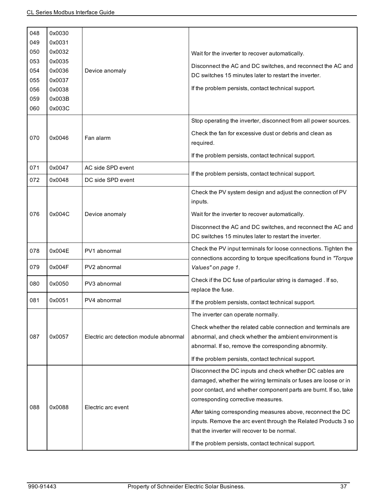| 048        | 0x0030           |                                        |                                                                                                                                                                                                                                      |
|------------|------------------|----------------------------------------|--------------------------------------------------------------------------------------------------------------------------------------------------------------------------------------------------------------------------------------|
| 049        | 0x0031           |                                        |                                                                                                                                                                                                                                      |
| 050<br>053 | 0x0032<br>0x0035 |                                        | Wait for the inverter to recover automatically.                                                                                                                                                                                      |
| 054        | 0x0036           | Device anomaly                         | Disconnect the AC and DC switches, and reconnect the AC and                                                                                                                                                                          |
| 055        | 0x0037           |                                        | DC switches 15 minutes later to restart the inverter.                                                                                                                                                                                |
| 056        | 0x0038           |                                        | If the problem persists, contact technical support.                                                                                                                                                                                  |
| 059        | 0x003B           |                                        |                                                                                                                                                                                                                                      |
| 060        | 0x003C           |                                        |                                                                                                                                                                                                                                      |
|            |                  |                                        | Stop operating the inverter, disconnect from all power sources.                                                                                                                                                                      |
| 070        | 0x0046           | Fan alarm                              | Check the fan for excessive dust or debris and clean as<br>required.                                                                                                                                                                 |
|            |                  |                                        | If the problem persists, contact technical support.                                                                                                                                                                                  |
| 071        | 0x0047           | AC side SPD event                      | If the problem persists, contact technical support.                                                                                                                                                                                  |
| 072        | 0x0048           | DC side SPD event                      |                                                                                                                                                                                                                                      |
|            |                  | Device anomaly                         | Check the PV system design and adjust the connection of PV<br>inputs.                                                                                                                                                                |
| 076        | 0x004C           |                                        | Wait for the inverter to recover automatically.                                                                                                                                                                                      |
|            |                  |                                        | Disconnect the AC and DC switches, and reconnect the AC and<br>DC switches 15 minutes later to restart the inverter.                                                                                                                 |
|            |                  |                                        |                                                                                                                                                                                                                                      |
| 078        | 0x004E           | PV1 abnormal                           | Check the PV input terminals for loose connections. Tighten the<br>connections according to torque specifications found in "Torque                                                                                                   |
| 079        | 0x004F           | PV2 abnormal                           | Values" on page 1.                                                                                                                                                                                                                   |
| 080        | 0x0050           | PV3 abnormal                           | Check if the DC fuse of particular string is damaged. If so,<br>replace the fuse.                                                                                                                                                    |
| 081        | 0x0051           | PV4 abnormal                           | If the problem persists, contact technical support.                                                                                                                                                                                  |
|            |                  |                                        | The inverter can operate normally.                                                                                                                                                                                                   |
| 087        | 0x0057           | Electric arc detection module abnormal | Check whether the related cable connection and terminals are<br>abnormal, and check whether the ambient environment is<br>abnormal. If so, remove the corresponding abnormity.                                                       |
|            |                  |                                        | If the problem persists, contact technical support.                                                                                                                                                                                  |
| 088        | 0x0088           | Electric arc event                     | Disconnect the DC inputs and check whether DC cables are<br>damaged, whether the wiring terminals or fuses are loose or in<br>poor contact, and whether component parts are burnt. If so, take<br>corresponding corrective measures. |
|            |                  |                                        | After taking corresponding measures above, reconnect the DC<br>inputs. Remove the arc event through the Related Products 3 so<br>that the inverter will recover to be normal.                                                        |
|            |                  |                                        | If the problem persists, contact technical support.                                                                                                                                                                                  |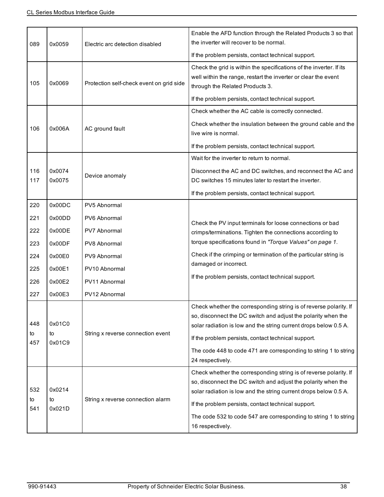| 089              | 0x0059                 | Electric arc detection disabled                                                      | Enable the AFD function through the Related Products 3 so that<br>the inverter will recover to be normal.                                                                                                                                                     |
|------------------|------------------------|--------------------------------------------------------------------------------------|---------------------------------------------------------------------------------------------------------------------------------------------------------------------------------------------------------------------------------------------------------------|
|                  |                        |                                                                                      | If the problem persists, contact technical support.                                                                                                                                                                                                           |
| 105              | 0x0069                 | Protection self-check event on grid side                                             | Check the grid is within the specifications of the inverter. If its<br>well within the range, restart the inverter or clear the event<br>through the Related Products 3.                                                                                      |
|                  |                        |                                                                                      | If the problem persists, contact technical support.                                                                                                                                                                                                           |
|                  |                        |                                                                                      | Check whether the AC cable is correctly connected.                                                                                                                                                                                                            |
| 106              | 0x006A                 | AC ground fault                                                                      | Check whether the insulation between the ground cable and the<br>live wire is normal.                                                                                                                                                                         |
|                  |                        |                                                                                      | If the problem persists, contact technical support.                                                                                                                                                                                                           |
|                  |                        |                                                                                      | Wait for the inverter to return to normal.                                                                                                                                                                                                                    |
| 116<br>117       | 0x0074<br>0x0075       | Device anomaly                                                                       | Disconnect the AC and DC switches, and reconnect the AC and<br>DC switches 15 minutes later to restart the inverter.                                                                                                                                          |
|                  |                        |                                                                                      | If the problem persists, contact technical support.                                                                                                                                                                                                           |
| 220              | 0x00DC                 | PV5 Abnormal                                                                         |                                                                                                                                                                                                                                                               |
| 221              | 0x00DD                 | PV6 Abnormal                                                                         | Check the PV input terminals for loose connections or bad                                                                                                                                                                                                     |
| 222              | 0x00DE                 | PV7 Abnormal                                                                         | crimps/terminations. Tighten the connections according to                                                                                                                                                                                                     |
| 223              | 0x00DF                 | PV8 Abnormal                                                                         | torque specifications found in "Torque Values" on page 1.                                                                                                                                                                                                     |
| 224              | 0x00E0                 | PV9 Abnormal                                                                         | Check if the crimping or termination of the particular string is                                                                                                                                                                                              |
| 225              | 0x00E1                 | PV10 Abnormal                                                                        | damaged or incorrect.                                                                                                                                                                                                                                         |
| 226              | 0x00E2                 | PV11 Abnormal                                                                        | If the problem persists, contact technical support.                                                                                                                                                                                                           |
| 227              | 0x00E3                 | PV12 Abnormal                                                                        |                                                                                                                                                                                                                                                               |
| 448<br>to<br>457 | 0x01C0<br>to<br>0x01C9 | String x reverse connection event                                                    | Check whether the corresponding string is of reverse polarity. If<br>so, disconnect the DC switch and adjust the polarity when the<br>solar radiation is low and the string current drops below 0.5 A.<br>If the problem persists, contact technical support. |
|                  |                        |                                                                                      | The code 448 to code 471 are corresponding to string 1 to string<br>24 respectively.                                                                                                                                                                          |
| 532<br>to        | 0x0214<br>to           | String x reverse connection alarm                                                    | Check whether the corresponding string is of reverse polarity. If<br>so, disconnect the DC switch and adjust the polarity when the<br>solar radiation is low and the string current drops below 0.5 A.                                                        |
| 541              | 0x021D                 |                                                                                      | If the problem persists, contact technical support.                                                                                                                                                                                                           |
|                  |                        | The code 532 to code 547 are corresponding to string 1 to string<br>16 respectively. |                                                                                                                                                                                                                                                               |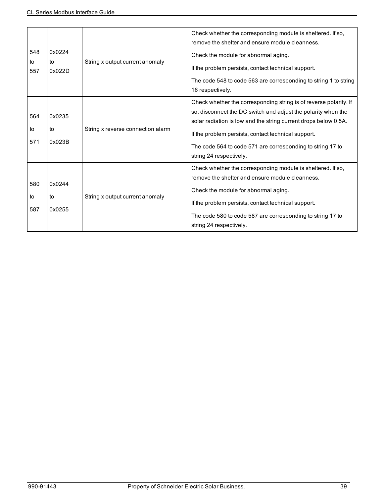| 548<br>to<br>557 | 0x0224<br>to<br>0x022D | String x output current anomaly   | Check whether the corresponding module is sheltered. If so,<br>remove the shelter and ensure module cleanness.<br>Check the module for abnormal aging.<br>If the problem persists, contact technical support.<br>The code 548 to code 563 are corresponding to string 1 to string<br>16 respectively.                                                 |
|------------------|------------------------|-----------------------------------|-------------------------------------------------------------------------------------------------------------------------------------------------------------------------------------------------------------------------------------------------------------------------------------------------------------------------------------------------------|
| 564<br>to<br>571 | 0x0235<br>to<br>0x023B | String x reverse connection alarm | Check whether the corresponding string is of reverse polarity. If<br>so, disconnect the DC switch and adjust the polarity when the<br>solar radiation is low and the string current drops below 0.5A.<br>If the problem persists, contact technical support.<br>The code 564 to code 571 are corresponding to string 17 to<br>string 24 respectively. |
| 580<br>to<br>587 | 0x0244<br>to<br>0x0255 | String x output current anomaly   | Check whether the corresponding module is sheltered. If so,<br>remove the shelter and ensure module cleanness.<br>Check the module for abnormal aging.<br>If the problem persists, contact technical support.<br>The code 580 to code 587 are corresponding to string 17 to<br>string 24 respectively.                                                |